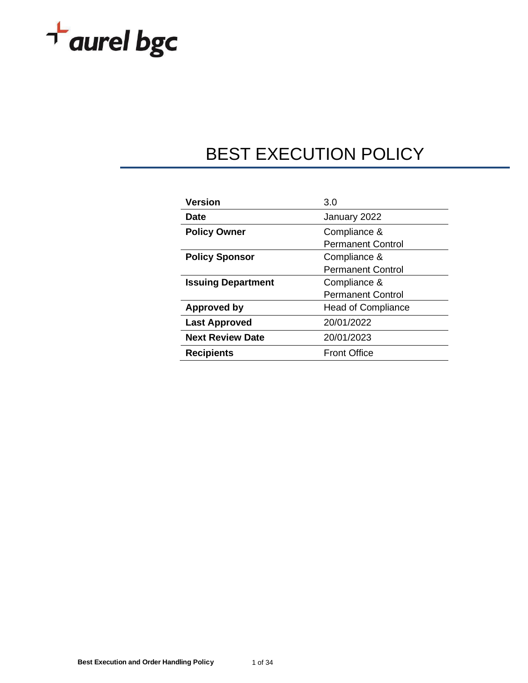

# BEST EXECUTION POLICY

| <b>Version</b>            | 3.0                       |
|---------------------------|---------------------------|
| <b>Date</b>               | January 2022              |
| <b>Policy Owner</b>       | Compliance &              |
|                           | <b>Permanent Control</b>  |
| <b>Policy Sponsor</b>     | Compliance &              |
|                           | <b>Permanent Control</b>  |
| <b>Issuing Department</b> | Compliance &              |
|                           | <b>Permanent Control</b>  |
| Approved by               | <b>Head of Compliance</b> |
| <b>Last Approved</b>      | 20/01/2022                |
| <b>Next Review Date</b>   | 20/01/2023                |
| <b>Recipients</b>         | <b>Front Office</b>       |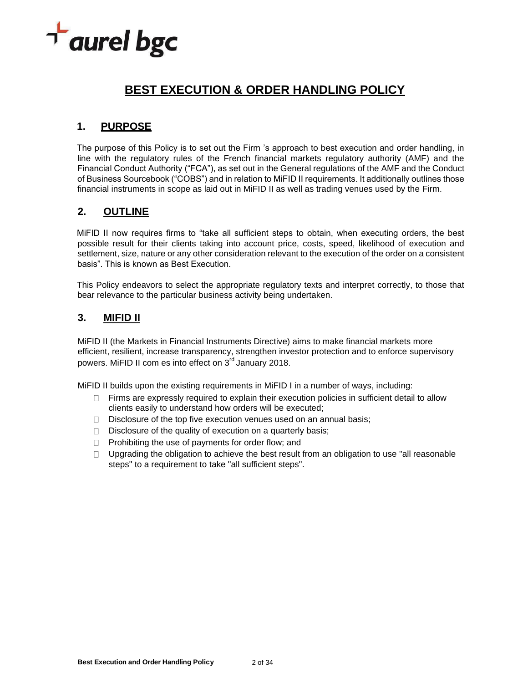

# **BEST EXECUTION & ORDER HANDLING POLICY**

### **1. PURPOSE**

The purpose of this Policy is to set out the Firm 's approach to best execution and order handling, in line with the regulatory rules of the French financial markets regulatory authority (AMF) and the Financial Conduct Authority ("FCA"), as set out in the General regulations of the AMF and the Conduct of Business Sourcebook ("COBS") and in relation to MiFID II requirements. It additionally outlines those financial instruments in scope as laid out in MiFID II as well as trading venues used by the Firm.

### **2. OUTLINE**

MiFID II now requires firms to "take all sufficient steps to obtain, when executing orders, the best possible result for their clients taking into account price, costs, speed, likelihood of execution and settlement, size, nature or any other consideration relevant to the execution of the order on a consistent basis". This is known as Best Execution.

This Policy endeavors to select the appropriate regulatory texts and interpret correctly, to those that bear relevance to the particular business activity being undertaken.

### **3. MIFID II**

MiFID II (the Markets in Financial Instruments Directive) aims to make financial markets more efficient, resilient, increase transparency, strengthen investor protection and to enforce supervisory powers. MiFID II com es into effect on 3<sup>rd</sup> January 2018.

MiFID II builds upon the existing requirements in MiFID I in a number of ways, including:

- $\Box$ Firms are expressly required to explain their execution policies in sufficient detail to allow clients easily to understand how orders will be executed;
- $\Box$  Disclosure of the top five execution venues used on an annual basis;
- $\square$  Disclosure of the quality of execution on a quarterly basis;
- $\Box$  Prohibiting the use of payments for order flow; and
- $\Box$  Upgrading the obligation to achieve the best result from an obligation to use "all reasonable" steps" to a requirement to take "all sufficient steps".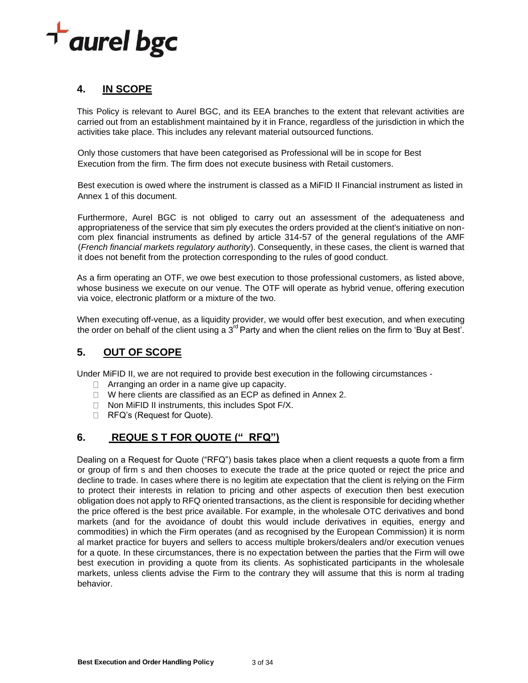

# **4. IN SCOPE**

This Policy is relevant to Aurel BGC, and its EEA branches to the extent that relevant activities are carried out from an establishment maintained by it in France, regardless of the jurisdiction in which the activities take place. This includes any relevant material outsourced functions.

Only those customers that have been categorised as Professional will be in scope for Best Execution from the firm. The firm does not execute business with Retail customers.

Best execution is owed where the instrument is classed as a MiFID II Financial instrument as listed in Annex 1 of this document.

Furthermore, Aurel BGC is not obliged to carry out an assessment of the adequateness and appropriateness of the service that sim ply executes the orders provided at the client's initiative on noncom plex financial instruments as defined by article 314-57 of the general regulations of the AMF (*French financial markets regulatory authority*). Consequently, in these cases, the client is warned that it does not benefit from the protection corresponding to the rules of good conduct.

As a firm operating an OTF, we owe best execution to those professional customers, as listed above, whose business we execute on our venue. The OTF will operate as hybrid venue, offering execution via voice, electronic platform or a mixture of the two.

When executing off-venue, as a liquidity provider, we would offer best execution, and when executing the order on behalf of the client using a  $3^{rd}$  Party and when the client relies on the firm to 'Buy at Best'.

### **5. OUT OF SCOPE**

Under MiFID II, we are not required to provide best execution in the following circumstances -

- $\Box$  Arranging an order in a name give up capacity.
- □ W here clients are classified as an ECP as defined in Annex 2.
- $\Box$  Non MiFID II instruments, this includes Spot F/X.
- □ RFQ's (Request for Quote).

### **6. REQUE S T FOR QUOTE (" RFQ")**

Dealing on a Request for Quote ("RFQ") basis takes place when a client requests a quote from a firm or group of firm s and then chooses to execute the trade at the price quoted or reject the price and decline to trade. In cases where there is no legitim ate expectation that the client is relying on the Firm to protect their interests in relation to pricing and other aspects of execution then best execution obligation does not apply to RFQ oriented transactions, as the client is responsible for deciding whether the price offered is the best price available. For example, in the wholesale OTC derivatives and bond markets (and for the avoidance of doubt this would include derivatives in equities, energy and commodities) in which the Firm operates (and as recognised by the European Commission) it is norm al market practice for buyers and sellers to access multiple brokers/dealers and/or execution venues for a quote. In these circumstances, there is no expectation between the parties that the Firm will owe best execution in providing a quote from its clients. As sophisticated participants in the wholesale markets, unless clients advise the Firm to the contrary they will assume that this is norm al trading behavior.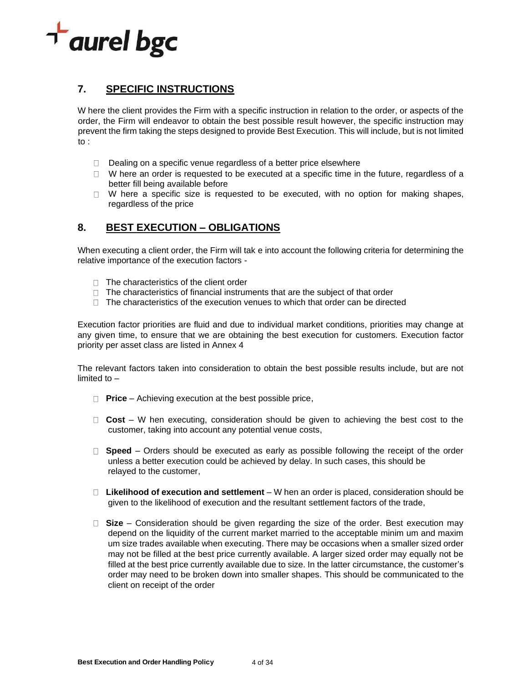

# **7. SPECIFIC INSTRUCTIONS**

W here the client provides the Firm with a specific instruction in relation to the order, or aspects of the order, the Firm will endeavor to obtain the best possible result however, the specific instruction may prevent the firm taking the steps designed to provide Best Execution. This will include, but is not limited to :

- $\Box$  Dealing on a specific venue regardless of a better price elsewhere
- $\Box$  W here an order is requested to be executed at a specific time in the future, regardless of a better fill being available before
- $\Box$  W here a specific size is requested to be executed, with no option for making shapes, regardless of the price

### **8. BEST EXECUTION – OBLIGATIONS**

When executing a client order, the Firm will tak e into account the following criteria for determining the relative importance of the execution factors -

- $\Box$  The characteristics of the client order
- $\Box$  The characteristics of financial instruments that are the subject of that order
- $\Box$  The characteristics of the execution venues to which that order can be directed

Execution factor priorities are fluid and due to individual market conditions, priorities may change at any given time, to ensure that we are obtaining the best execution for customers. Execution factor priority per asset class are listed in Annex 4

The relevant factors taken into consideration to obtain the best possible results include, but are not limited to –

- □ **Price** Achieving execution at the best possible price,
- □ **Cost** W hen executing, consideration should be given to achieving the best cost to the customer, taking into account any potential venue costs,
- □ **Speed** Orders should be executed as early as possible following the receipt of the order unless a better execution could be achieved by delay. In such cases, this should be relayed to the customer,
- □ Likelihood of execution and settlement W hen an order is placed, consideration should be given to the likelihood of execution and the resultant settlement factors of the trade,
- **Size**  Consideration should be given regarding the size of the order. Best execution may depend on the liquidity of the current market married to the acceptable minim um and maxim um size trades available when executing. There may be occasions when a smaller sized order may not be filled at the best price currently available. A larger sized order may equally not be filled at the best price currently available due to size. In the latter circumstance, the customer's order may need to be broken down into smaller shapes. This should be communicated to the client on receipt of the order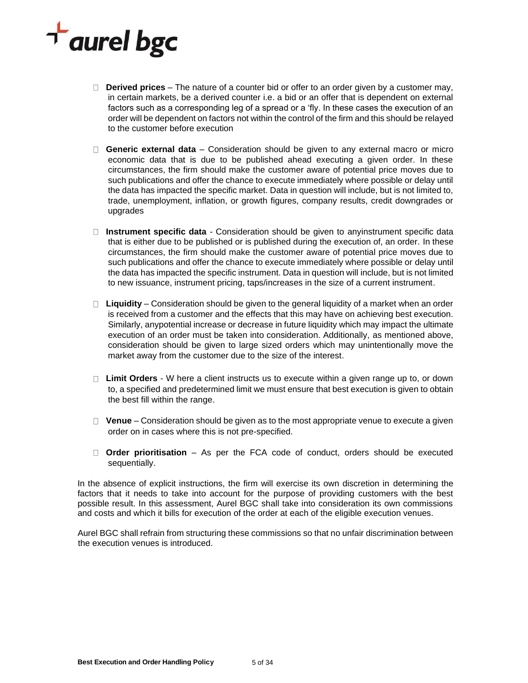

- □ **Derived prices** The nature of a counter bid or offer to an order given by a customer may, in certain markets, be a derived counter i.e. a bid or an offer that is dependent on external factors such as a corresponding leg of a spread or a 'fly. In these cases the execution of an order will be dependent on factors not within the control of the firm and this should be relayed to the customer before execution
- **Generic external data**  Consideration should be given to any external macro or micro economic data that is due to be published ahead executing a given order. In these circumstances, the firm should make the customer aware of potential price moves due to such publications and offer the chance to execute immediately where possible or delay until the data has impacted the specific market. Data in question will include, but is not limited to, trade, unemployment, inflation, or growth figures, company results, credit downgrades or upgrades
- **Instrument specific data**  Consideration should be given to anyinstrument specific data that is either due to be published or is published during the execution of, an order. In these circumstances, the firm should make the customer aware of potential price moves due to such publications and offer the chance to execute immediately where possible or delay until the data has impacted the specific instrument. Data in question will include, but is not limited to new issuance, instrument pricing, taps/increases in the size of a current instrument.
- □ Liquidity Consideration should be given to the general liquidity of a market when an order is received from a customer and the effects that this may have on achieving best execution. Similarly, anypotential increase or decrease in future liquidity which may impact the ultimate execution of an order must be taken into consideration. Additionally, as mentioned above, consideration should be given to large sized orders which may unintentionally move the market away from the customer due to the size of the interest.
- □ Limit Orders W here a client instructs us to execute within a given range up to, or down to, a specified and predetermined limit we must ensure that best execution is given to obtain the best fill within the range.
- □ **Venue** Consideration should be given as to the most appropriate venue to execute a given order on in cases where this is not pre-specified.
- **Order prioritisation**  As per the FCA code of conduct, orders should be executed sequentially.

In the absence of explicit instructions, the firm will exercise its own discretion in determining the factors that it needs to take into account for the purpose of providing customers with the best possible result. In this assessment, Aurel BGC shall take into consideration its own commissions and costs and which it bills for execution of the order at each of the eligible execution venues.

Aurel BGC shall refrain from structuring these commissions so that no unfair discrimination between the execution venues is introduced.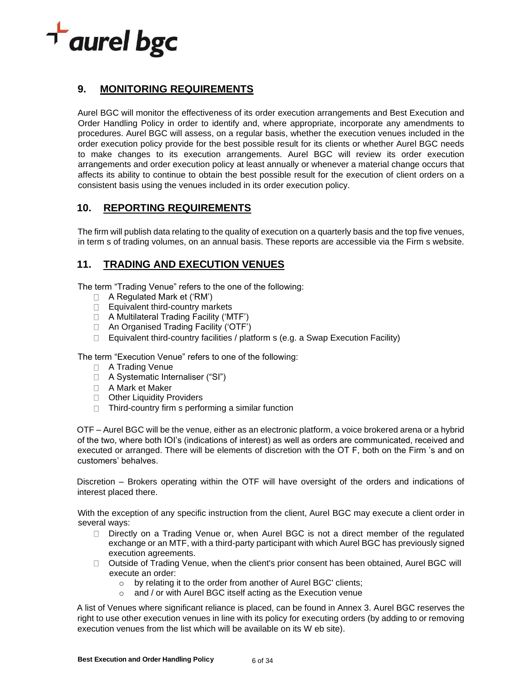

### **9. MONITORING REQUIREMENTS**

Aurel BGC will monitor the effectiveness of its order execution arrangements and Best Execution and Order Handling Policy in order to identify and, where appropriate, incorporate any amendments to procedures. Aurel BGC will assess, on a regular basis, whether the execution venues included in the order execution policy provide for the best possible result for its clients or whether Aurel BGC needs to make changes to its execution arrangements. Aurel BGC will review its order execution arrangements and order execution policy at least annually or whenever a material change occurs that affects its ability to continue to obtain the best possible result for the execution of client orders on a consistent basis using the venues included in its order execution policy.

### **10. REPORTING REQUIREMENTS**

The firm will publish data relating to the quality of execution on a quarterly basis and the top five venues, in term s of trading volumes, on an annual basis. These reports are accessible via the Firm s website.

### **11. TRADING AND EXECUTION VENUES**

The term "Trading Venue" refers to the one of the following:

- □ A Regulated Mark et ('RM')
- $\Box$  Equivalent third-country markets
- A Multilateral Trading Facility ('MTF')
- □ An Organised Trading Facility ('OTF')
- $\Box$  Equivalent third-country facilities / platform s (e.g. a Swap Execution Facility)

The term "Execution Venue" refers to one of the following:

- **A Trading Venue**
- □ A Systematic Internaliser ("SI")
- A Mark et Maker
- □ Other Liquidity Providers
- $\Box$  Third-country firm s performing a similar function

OTF – Aurel BGC will be the venue, either as an electronic platform, a voice brokered arena or a hybrid of the two, where both IOI's (indications of interest) as well as orders are communicated, received and executed or arranged. There will be elements of discretion with the OT F, both on the Firm 's and on customers' behalves.

Discretion – Brokers operating within the OTF will have oversight of the orders and indications of interest placed there.

With the exception of any specific instruction from the client, Aurel BGC may execute a client order in several ways:

- Directly on a Trading Venue or, when Aurel BGC is not a direct member of the regulated exchange or an MTF, with a third-party participant with which Aurel BGC has previously signed execution agreements.
- □ Outside of Trading Venue, when the client's prior consent has been obtained, Aurel BGC will execute an order:
	- o by relating it to the order from another of Aurel BGC' clients;
	- o and / or with Aurel BGC itself acting as the Execution venue

A list of Venues where significant reliance is placed, can be found in Annex 3. Aurel BGC reserves the right to use other execution venues in line with its policy for executing orders (by adding to or removing execution venues from the list which will be available on its W eb site).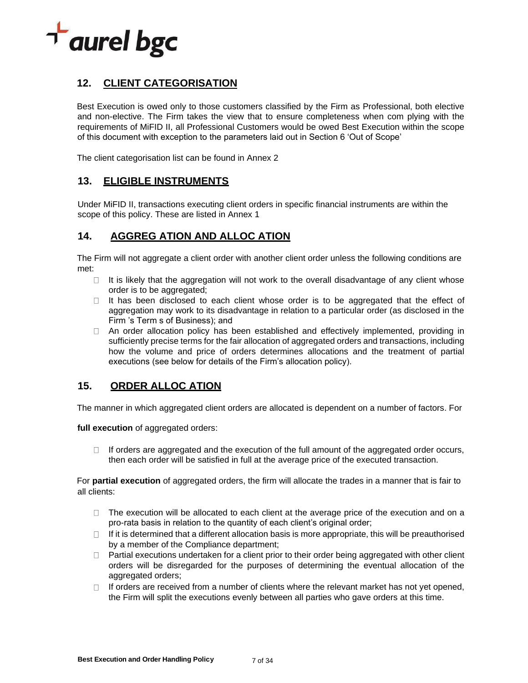

# **12. CLIENT CATEGORISATION**

Best Execution is owed only to those customers classified by the Firm as Professional, both elective and non-elective. The Firm takes the view that to ensure completeness when com plying with the requirements of MiFID II, all Professional Customers would be owed Best Execution within the scope of this document with exception to the parameters laid out in Section 6 'Out of Scope'

The client categorisation list can be found in Annex 2

### **13. ELIGIBLE INSTRUMENTS**

Under MiFID II, transactions executing client orders in specific financial instruments are within the scope of this policy. These are listed in Annex 1

### **14. AGGREG ATION AND ALLOC ATION**

The Firm will not aggregate a client order with another client order unless the following conditions are met:

- $\Box$  It is likely that the aggregation will not work to the overall disadvantage of any client whose order is to be aggregated;
- $\Box$  It has been disclosed to each client whose order is to be aggregated that the effect of aggregation may work to its disadvantage in relation to a particular order (as disclosed in the Firm 's Term s of Business); and
- An order allocation policy has been established and effectively implemented, providing in sufficiently precise terms for the fair allocation of aggregated orders and transactions, including how the volume and price of orders determines allocations and the treatment of partial executions (see below for details of the Firm's allocation policy).

### **15. ORDER ALLOC ATION**

The manner in which aggregated client orders are allocated is dependent on a number of factors. For

**full execution** of aggregated orders:

 $\Box$  If orders are aggregated and the execution of the full amount of the aggregated order occurs, then each order will be satisfied in full at the average price of the executed transaction.

For **partial execution** of aggregated orders, the firm will allocate the trades in a manner that is fair to all clients:

- $\Box$  The execution will be allocated to each client at the average price of the execution and on a pro-rata basis in relation to the quantity of each client's original order;
- $\Box$  If it is determined that a different allocation basis is more appropriate, this will be preauthorised by a member of the Compliance department;
- $\Box$  Partial executions undertaken for a client prior to their order being aggregated with other client orders will be disregarded for the purposes of determining the eventual allocation of the aggregated orders;
- $\Box$  If orders are received from a number of clients where the relevant market has not yet opened, the Firm will split the executions evenly between all parties who gave orders at this time.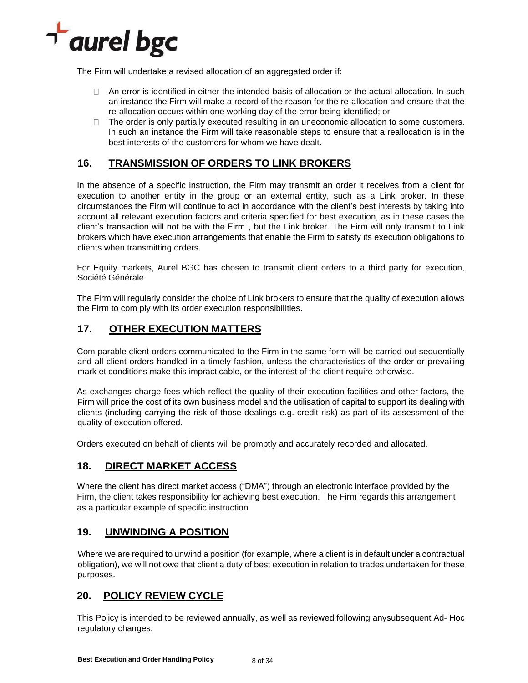

The Firm will undertake a revised allocation of an aggregated order if:

- $\Box$  An error is identified in either the intended basis of allocation or the actual allocation. In such an instance the Firm will make a record of the reason for the re-allocation and ensure that the re-allocation occurs within one working day of the error being identified; or
- $\Box$ The order is only partially [executed r](http://fsahandbook.info/FSA/glossary-html/handbook/Glossary/E?definition=G394)esulting in an uneconomic allocation to some [customers.](http://fsahandbook.info/FSA/glossary-html/handbook/Glossary/C?definition=G252)  In such an instance the Firm will take reasonable steps to ensure that a reallocation is in the best interests of the [customers fo](http://fsahandbook.info/FSA/glossary-html/handbook/Glossary/C?definition=G252)r whom we have dealt.

### **16. TRANSMISSION OF ORDERS TO LINK BROKERS**

In the absence of a specific instruction, the Firm may transmit an order it receives from a client for execution to another entity in the group or an external entity, such as a Link broker. In these circumstances the Firm will continue to act in accordance with the client's best interests by taking into account all relevant execution factors and criteria specified for best execution, as in these cases the client's transaction will not be with the Firm , but the Link broker. The Firm will only transmit to Link brokers which have execution arrangements that enable the Firm to satisfy its execution obligations to clients when transmitting orders.

For Equity markets, Aurel BGC has chosen to transmit client orders to a third party for execution, Société Générale.

The Firm will regularly consider the choice of Link brokers to ensure that the quality of execution allows the Firm to com ply with its order execution responsibilities.

### **17. OTHER EXECUTION MATTERS**

Com parable client orders communicated to the Firm in the same form will be carried out sequentially and all client orders handled in a timely fashion, unless the characteristics of the order or prevailing mark et conditions make this impracticable, or the interest of the client require otherwise.

As exchanges charge fees which reflect the quality of their execution facilities and other factors, the Firm will price the cost of its own business model and the utilisation of capital to support its dealing with clients (including carrying the risk of those dealings e.g. credit risk) as part of its assessment of the quality of execution offered.

Orders executed on behalf of clients will be promptly and accurately recorded and allocated.

### **18. DIRECT MARKET ACCESS**

Where the client has direct market access ("DMA") through an electronic interface provided by the Firm, the client takes responsibility for achieving best execution. The Firm regards this arrangement as a particular example of specific instruction

### **19. UNWINDING A POSITION**

Where we are required to unwind a position (for example, where a client is in default under a contractual obligation), we will not owe that client a duty of best execution in relation to trades undertaken for these purposes.

### **20. POLICY REVIEW CYCLE**

This Policy is intended to be reviewed annually, as well as reviewed following anysubsequent Ad- Hoc regulatory changes.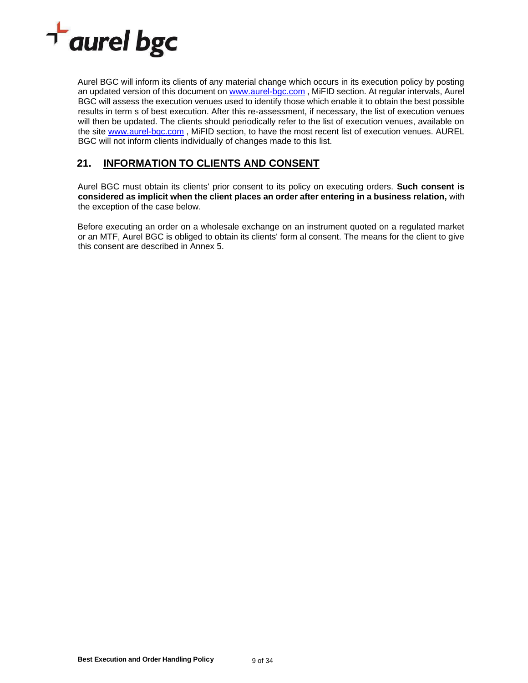

Aurel BGC will inform its clients of any material change which occurs in its execution policy by posting an updated version of this document on [www.aurel-bgc.com](http://www.aurel-bgc.com/) , MiFID section. At regular intervals, Aurel BGC will assess the execution venues used to identify those which enable it to obtain the best possible results in term s of best execution. After this re-assessment, if necessary, the list of execution venues will then be updated. The clients should periodically refer to the list of execution venues, available on the site [www.aurel-bgc.com](http://www.aurel-bgc.com/) , MiFID section, to have the most recent list of execution venues. AUREL BGC will not inform clients individually of changes made to this list.

### **21. INFORMATION TO CLIENTS AND CONSENT**

Aurel BGC must obtain its clients' prior consent to its policy on executing orders. **Such consent is considered as implicit when the client places an order after entering in a business relation,** with the exception of the case below.

Before executing an order on a wholesale exchange on an instrument quoted on a regulated market or an MTF, Aurel BGC is obliged to obtain its clients' form al consent. The means for the client to give this consent are described in Annex 5.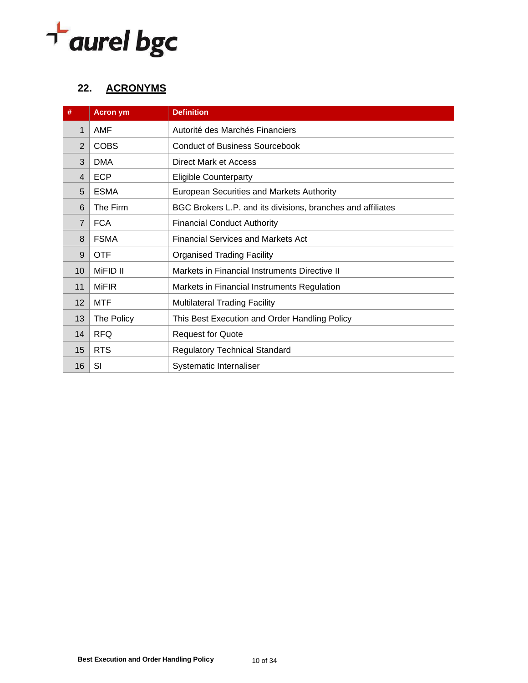

# **22. ACRONYMS**

| #              | <b>Acron ym</b> | <b>Definition</b>                                           |
|----------------|-----------------|-------------------------------------------------------------|
| 1              | AMF             | Autorité des Marchés Financiers                             |
| $\overline{2}$ | <b>COBS</b>     | <b>Conduct of Business Sourcebook</b>                       |
| 3              | <b>DMA</b>      | <b>Direct Mark et Access</b>                                |
| $\overline{4}$ | <b>ECP</b>      | <b>Eligible Counterparty</b>                                |
| 5              | <b>ESMA</b>     | <b>European Securities and Markets Authority</b>            |
| 6              | The Firm        | BGC Brokers L.P. and its divisions, branches and affiliates |
| $\overline{7}$ | <b>FCA</b>      | <b>Financial Conduct Authority</b>                          |
| 8              | <b>FSMA</b>     | <b>Financial Services and Markets Act</b>                   |
| 9              | <b>OTF</b>      | <b>Organised Trading Facility</b>                           |
| 10             | MiFID II        | Markets in Financial Instruments Directive II               |
| 11             | <b>MiFIR</b>    | Markets in Financial Instruments Regulation                 |
| 12             | MTF             | <b>Multilateral Trading Facility</b>                        |
| 13             | The Policy      | This Best Execution and Order Handling Policy               |
| 14             | <b>RFQ</b>      | <b>Request for Quote</b>                                    |
| 15             | <b>RTS</b>      | <b>Regulatory Technical Standard</b>                        |
| 16             | SI              | Systematic Internaliser                                     |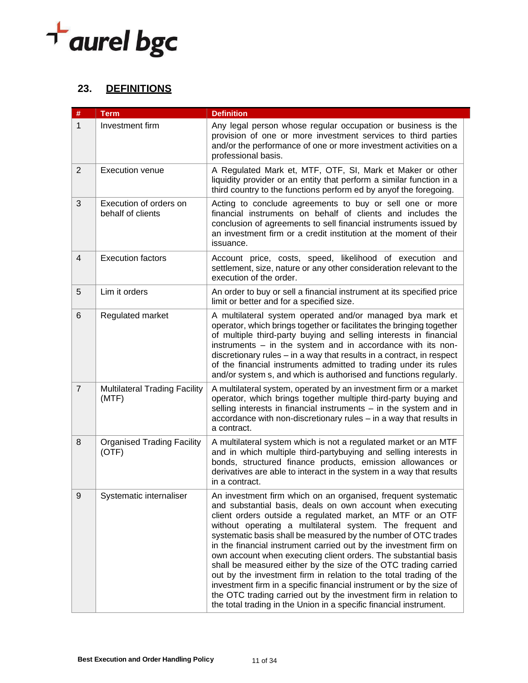

# **23. DEFINITIONS**

| $\#$           | <b>Term</b>                                   | <b>Definition</b>                                                                                                                                                                                                                                                                                                                                                                                                                                                                                                                                                                                                                                                                                                                                                                                                            |
|----------------|-----------------------------------------------|------------------------------------------------------------------------------------------------------------------------------------------------------------------------------------------------------------------------------------------------------------------------------------------------------------------------------------------------------------------------------------------------------------------------------------------------------------------------------------------------------------------------------------------------------------------------------------------------------------------------------------------------------------------------------------------------------------------------------------------------------------------------------------------------------------------------------|
| $\mathbf{1}$   | Investment firm                               | Any legal person whose regular occupation or business is the<br>provision of one or more investment services to third parties<br>and/or the performance of one or more investment activities on a<br>professional basis.                                                                                                                                                                                                                                                                                                                                                                                                                                                                                                                                                                                                     |
| 2              | <b>Execution venue</b>                        | A Regulated Mark et, MTF, OTF, SI, Mark et Maker or other<br>liquidity provider or an entity that perform a similar function in a<br>third country to the functions perform ed by anyof the foregoing.                                                                                                                                                                                                                                                                                                                                                                                                                                                                                                                                                                                                                       |
| 3              | Execution of orders on<br>behalf of clients   | Acting to conclude agreements to buy or sell one or more<br>financial instruments on behalf of clients and includes the<br>conclusion of agreements to sell financial instruments issued by<br>an investment firm or a credit institution at the moment of their<br>issuance.                                                                                                                                                                                                                                                                                                                                                                                                                                                                                                                                                |
| $\overline{4}$ | <b>Execution factors</b>                      | Account price, costs, speed, likelihood of execution and<br>settlement, size, nature or any other consideration relevant to the<br>execution of the order.                                                                                                                                                                                                                                                                                                                                                                                                                                                                                                                                                                                                                                                                   |
| 5              | Lim it orders                                 | An order to buy or sell a financial instrument at its specified price<br>limit or better and for a specified size.                                                                                                                                                                                                                                                                                                                                                                                                                                                                                                                                                                                                                                                                                                           |
| 6              | Regulated market                              | A multilateral system operated and/or managed bya mark et<br>operator, which brings together or facilitates the bringing together<br>of multiple third-party buying and selling interests in financial<br>instruments - in the system and in accordance with its non-<br>discretionary rules - in a way that results in a contract, in respect<br>of the financial instruments admitted to trading under its rules<br>and/or system s, and which is authorised and functions regularly.                                                                                                                                                                                                                                                                                                                                      |
| $\overline{7}$ | <b>Multilateral Trading Facility</b><br>(MTF) | A multilateral system, operated by an investment firm or a market<br>operator, which brings together multiple third-party buying and<br>selling interests in financial instruments - in the system and in<br>accordance with non-discretionary rules - in a way that results in<br>a contract.                                                                                                                                                                                                                                                                                                                                                                                                                                                                                                                               |
| 8              | <b>Organised Trading Facility</b><br>(OFF)    | A multilateral system which is not a regulated market or an MTF<br>and in which multiple third-partybuying and selling interests in<br>bonds, structured finance products, emission allowances or<br>derivatives are able to interact in the system in a way that results<br>in a contract.                                                                                                                                                                                                                                                                                                                                                                                                                                                                                                                                  |
| 9              | Systematic internaliser                       | An investment firm which on an organised, frequent systematic<br>and substantial basis, deals on own account when executing<br>client orders outside a regulated market, an MTF or an OTF<br>without operating a multilateral system. The frequent and<br>systematic basis shall be measured by the number of OTC trades<br>in the financial instrument carried out by the investment firm on<br>own account when executing client orders. The substantial basis<br>shall be measured either by the size of the OTC trading carried<br>out by the investment firm in relation to the total trading of the<br>investment firm in a specific financial instrument or by the size of<br>the OTC trading carried out by the investment firm in relation to<br>the total trading in the Union in a specific financial instrument. |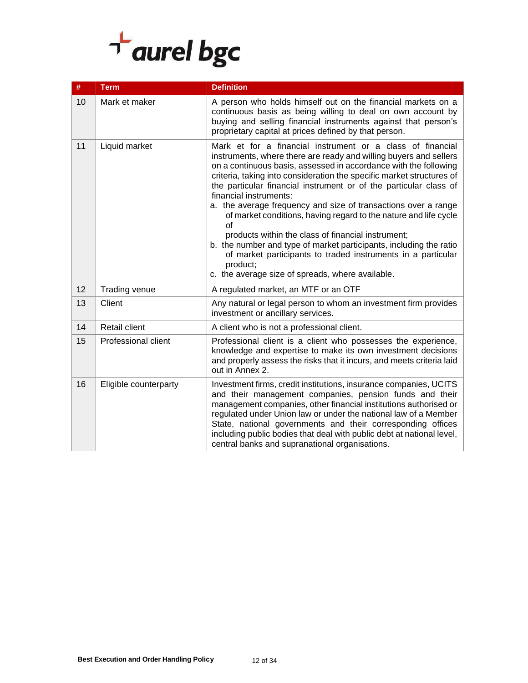

| #  | <b>Term</b>                | <b>Definition</b>                                                                                                                                                                                                                                                                                                                                                                                                                                                                                                                                                                                                                                                                                                                                                                   |
|----|----------------------------|-------------------------------------------------------------------------------------------------------------------------------------------------------------------------------------------------------------------------------------------------------------------------------------------------------------------------------------------------------------------------------------------------------------------------------------------------------------------------------------------------------------------------------------------------------------------------------------------------------------------------------------------------------------------------------------------------------------------------------------------------------------------------------------|
| 10 | Mark et maker              | A person who holds himself out on the financial markets on a<br>continuous basis as being willing to deal on own account by<br>buying and selling financial instruments against that person's<br>proprietary capital at prices defined by that person.                                                                                                                                                                                                                                                                                                                                                                                                                                                                                                                              |
| 11 | Liquid market              | Mark et for a financial instrument or a class of financial<br>instruments, where there are ready and willing buyers and sellers<br>on a continuous basis, assessed in accordance with the following<br>criteria, taking into consideration the specific market structures of<br>the particular financial instrument or of the particular class of<br>financial instruments:<br>a. the average frequency and size of transactions over a range<br>of market conditions, having regard to the nature and life cycle<br>Ωf<br>products within the class of financial instrument;<br>b. the number and type of market participants, including the ratio<br>of market participants to traded instruments in a particular<br>product;<br>c. the average size of spreads, where available. |
| 12 | Trading venue              | A regulated market, an MTF or an OTF                                                                                                                                                                                                                                                                                                                                                                                                                                                                                                                                                                                                                                                                                                                                                |
| 13 | Client                     | Any natural or legal person to whom an investment firm provides<br>investment or ancillary services.                                                                                                                                                                                                                                                                                                                                                                                                                                                                                                                                                                                                                                                                                |
| 14 | <b>Retail client</b>       | A client who is not a professional client.                                                                                                                                                                                                                                                                                                                                                                                                                                                                                                                                                                                                                                                                                                                                          |
| 15 | <b>Professional client</b> | Professional client is a client who possesses the experience,<br>knowledge and expertise to make its own investment decisions<br>and properly assess the risks that it incurs, and meets criteria laid<br>out in Annex 2.                                                                                                                                                                                                                                                                                                                                                                                                                                                                                                                                                           |
| 16 | Eligible counterparty      | Investment firms, credit institutions, insurance companies, UCITS<br>and their management companies, pension funds and their<br>management companies, other financial institutions authorised or<br>regulated under Union law or under the national law of a Member<br>State, national governments and their corresponding offices<br>including public bodies that deal with public debt at national level,<br>central banks and supranational organisations.                                                                                                                                                                                                                                                                                                                       |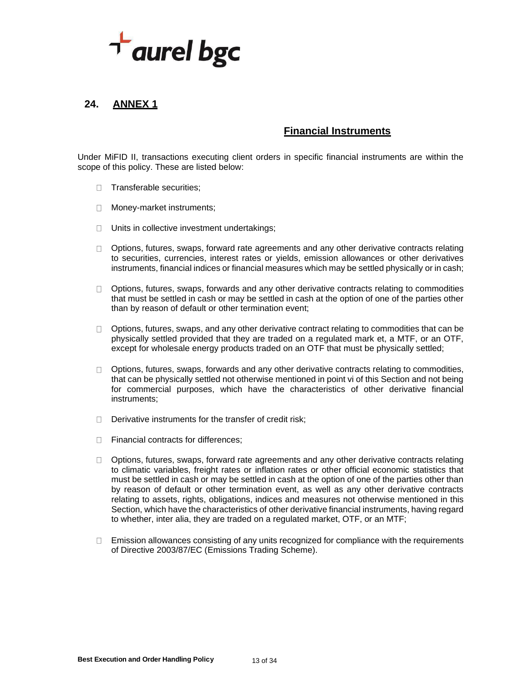# **aurel bgc**

### **24. ANNEX 1**

### **Financial Instruments**

Under MiFID II, transactions executing client orders in specific financial instruments are within the scope of this policy. These are listed below:

- $\Box$  Transferable securities:
- **Money-market instruments;**
- $\Box$  Units in collective investment undertakings;
- $\Box$  Options, futures, swaps, forward rate agreements and any other derivative contracts relating to securities, currencies, interest rates or yields, emission allowances or other derivatives instruments, financial indices or financial measures which may be settled physically or in cash;
- $\Box$  Options, futures, swaps, forwards and any other derivative contracts relating to commodities that must be settled in cash or may be settled in cash at the option of one of the parties other than by reason of default or other termination event;
- Options, futures, swaps, and any other derivative contract relating to commodities that can be  $\Box$ physically settled provided that they are traded on a regulated mark et, a MTF, or an OTF, except for wholesale energy products traded on an OTF that must be physically settled;
- Options, futures, swaps, forwards and any other derivative contracts relating to commodities, that can be physically settled not otherwise mentioned in point vi of this Section and not being for commercial purposes, which have the characteristics of other derivative financial instruments;
- $\Box$  Derivative instruments for the transfer of credit risk;
- $\Box$  Financial contracts for differences:
- $\Box$  Options, futures, swaps, forward rate agreements and any other derivative contracts relating to climatic variables, freight rates or inflation rates or other official economic statistics that must be settled in cash or may be settled in cash at the option of one of the parties other than by reason of default or other termination event, as well as any other derivative contracts relating to assets, rights, obligations, indices and measures not otherwise mentioned in this Section, which have the characteristics of other derivative financial instruments, having regard to whether, inter alia, they are traded on a regulated market, OTF, or an MTF;
- Emission allowances consisting of any units recognized for compliance with the requirements  $\Box$ of Directive 2003/87/EC (Emissions Trading Scheme).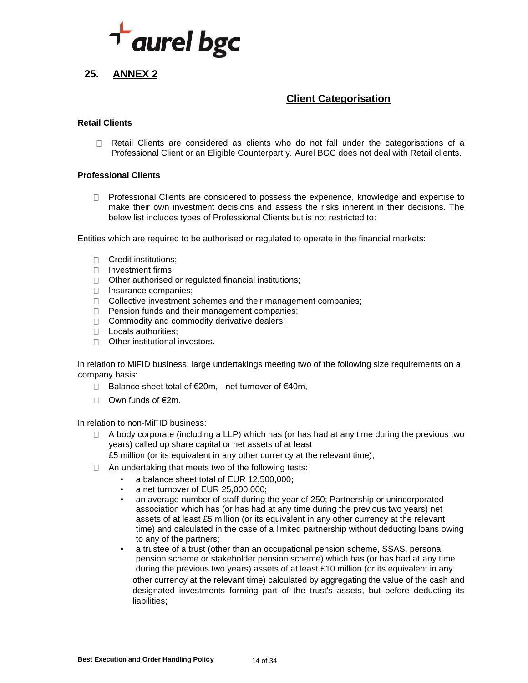

# **25. ANNEX 2**

### **Client Categorisation**

### **Retail Clients**

Retail Clients are considered as clients who do not fall under the categorisations of a  $\Box$ Professional Client or an Eligible Counterpart y. Aurel BGC does not deal with Retail clients.

#### **Professional Clients**

□ Professional Clients are considered to possess the experience, knowledge and expertise to make their own investment decisions and assess the risks inherent in their decisions. The below list includes types of Professional Clients but is not restricted to:

Entities which are required to be authorised or regulated to operate in the financial markets:

- □ Credit institutions:
- □ Investment firms;
- □ Other authorised or regulated financial institutions;
- □ Insurance companies:
- □ Collective investment schemes and their management companies;
- $\Box$  Pension funds and their management companies;
- $\Box$  Commodity and commodity derivative dealers;
- □ Locals authorities:
- □ Other institutional investors.

In relation to MiFID business, large undertakings meeting two of the following size requirements on a company basis:

- Balance sheet total of €20m, net turnover of €40m,
- Own funds of €2m.

In relation to non-MiFID business:

 $\Box$  A body corporate (including a LLP) which has (or has had at any time during the previous two years) called up share capital or net assets of at least

£5 million (or its equivalent in any other currency at the relevant time);

- $\Box$  An undertaking that meets two of the following tests:
	- a balance sheet total of EUR 12,500,000;
	- a net turnover of EUR 25,000,000;
	- an average number of staff during the year of 250; Partnership or unincorporated association which has (or has had at any time during the previous two years) net assets of at least £5 million (or its equivalent in any other currency at the relevant time) and calculated in the case of a limited partnership without deducting loans owing to any of the partners;
	- a trustee of a trust (other than an occupational pension scheme, SSAS, personal pension scheme or stakeholder pension scheme) which has (or has had at any time during the previous two years) assets of at least £10 million (or its equivalent in any other currency at the relevant time) calculated by aggregating the value of the cash and designated investments forming part of the trust's assets, but before deducting its liabilities;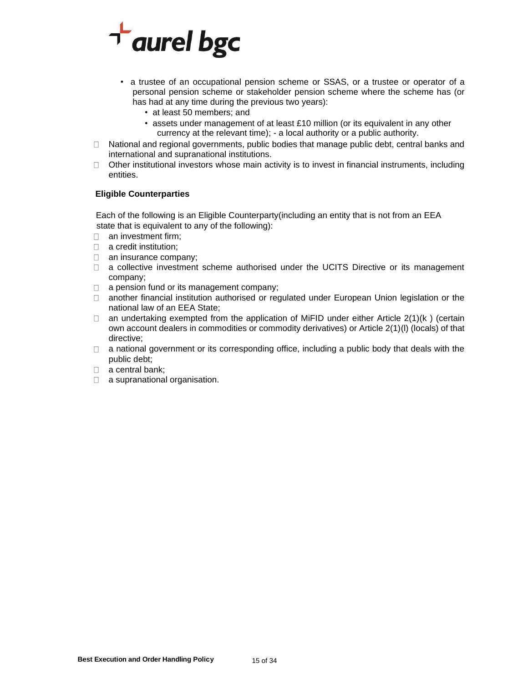

- a trustee of [an occupational pension scheme or SSAS, o](http://fsahandbook.info/FSA/glossary-html/handbook/Glossary/O?definition=G777)r a trustee [or operator o](http://fsahandbook.info/FSA/glossary-html/handbook/Glossary/O?definition=G803)f [a](http://fsahandbook.info/FSA/glossary-html/handbook/Glossary/P?definition=G876) [personal pension scheme o](http://fsahandbook.info/FSA/glossary-html/handbook/Glossary/P?definition=G876)r [stakeholder pension scheme w](http://fsahandbook.info/FSA/glossary-html/handbook/Glossary/S?definition=G1124)here the scheme has (or has had at any time during the previous two years):
	- at least 50 members; and
	- assets under management of at least £10 million (or its equivalent in any other currency at the relevant time); - a local authority or a public authority.
- $\Box$  National and regional governments, public bodies that manage public debt, central banks and international and supranational institutions.
- $\Box$ Other institutional investors whose main activity is to invest in financial instruments, including entities.

#### **Eligible Counterparties**

Each of the following is an Eligible Counterparty(including an entity that is not from an EEA state that is equivalent to any of the following):

- **an investment firm;**
- a credit institution;
- □ an insurance company;
- □ a collective investment scheme authorised under the UCITS Directive or its management company;
- □ a pension fund or its management company;
- □ another financial institution authorised or regulated under European Union legislation or the national law of an EEA State;
- $\Box$  an undertaking exempted from the application of MiFID under either Article 2(1)(k) (certain own account dealers in commodities or commodity derivatives) or Article 2(1)(l) (locals) of that directive;
- $\Box$  a national government or its corresponding office, including a public body that deals with the public debt;
- a central bank;
- □ a supranational organisation.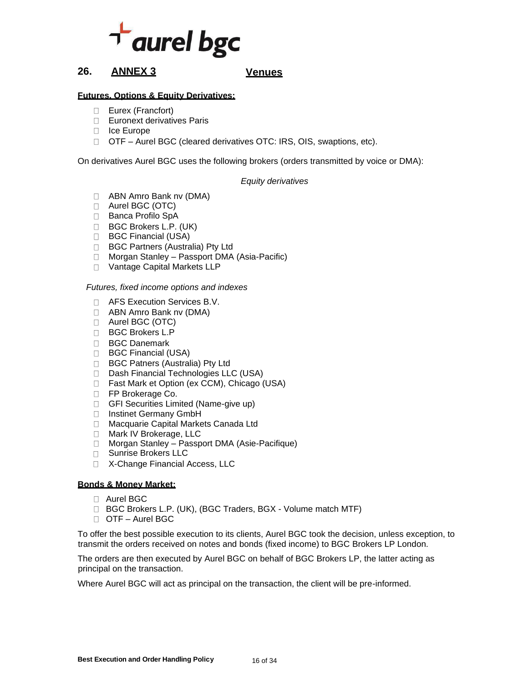

### **26. ANNEX 3 Venues**

### **Futures, Options & Equity Derivatives:**

- □ Eurex (Francfort)
- □ Euronext derivatives Paris
- □ Ice Europe
- □ OTF Aurel BGC (cleared derivatives OTC: IRS, OIS, swaptions, etc).

On derivatives Aurel BGC uses the following brokers (orders transmitted by voice or DMA):

### *Equity derivatives*

- ABN Amro Bank nv (DMA)
- □ Aurel BGC (OTC)
- □ Banca Profilo SpA
- □ BGC Brokers L.P. (UK)
- BGC Financial (USA)
- □ BGC Partners (Australia) Pty Ltd
- □ Morgan Stanley Passport DMA (Asia-Pacific)
- □ Vantage Capital Markets LLP

### *Futures, fixed income options and indexes*

- □ AFS Execution Services B.V.
- ABN Amro Bank nv (DMA)
- Aurel BGC (OTC)
- BGC Brokers L.P
- D BGC Danemark
- □ BGC Financial (USA)
- □ BGC Patners (Australia) Pty Ltd
- □ Dash Financial Technologies LLC (USA)
- □ Fast Mark et Option (ex CCM), Chicago (USA)
- **FP Brokerage Co.**
- GFI Securities Limited (Name-give up)
- Instinet Germany GmbH
- □ Macquarie Capital Markets Canada Ltd
- **Mark IV Brokerage, LLC**
- □ Morgan Stanley Passport DMA (Asie-Pacifique)
- □ Sunrise Brokers LLC
- □ X-Change Financial Access, LLC

### **Bonds & Money Market:**

- Aurel BGC
- □ BGC Brokers L.P. (UK), (BGC Traders, BGX Volume match MTF)
- OTF Aurel BGC

To offer the best possible execution to its clients, Aurel BGC took the decision, unless exception, to transmit the orders received on notes and bonds (fixed income) to BGC Brokers LP London.

The orders are then executed by Aurel BGC on behalf of BGC Brokers LP, the latter acting as principal on the transaction.

Where Aurel BGC will act as principal on the transaction, the client will be pre-informed.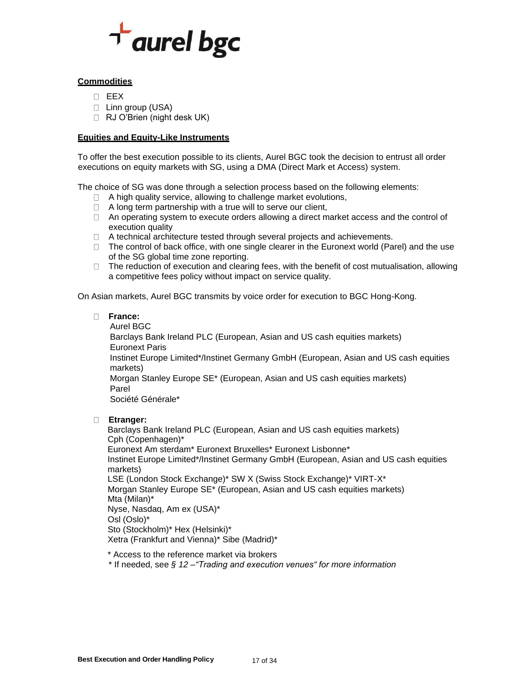

### **Commodities**

- **n** EEX
- $\Box$  Linn group (USA)
- RJ O'Brien (night desk UK)

### **Equities and Equity-Like Instruments**

To offer the best execution possible to its clients, Aurel BGC took the decision to entrust all order executions on equity markets with SG, using a DMA (Direct Mark et Access) system.

The choice of SG was done through a selection process based on the following elements:

- $\Box$  A high quality service, allowing to challenge market evolutions,
- $\Box$  A long term partnership with a true will to serve our client,
- □ An operating system to execute orders allowing a direct market access and the control of execution quality
- □<br>
A technical architecture tested through several projects and achievements.
- $\Box$  The control of back office, with one single clearer in the Euronext world (Parel) and the use of the SG global time zone reporting.
- $\Box$  The reduction of execution and clearing fees, with the benefit of cost mutualisation, allowing a competitive fees policy without impact on service quality.

On Asian markets, Aurel BGC transmits by voice order for execution to BGC Hong-Kong.

- **France:**
	- Aurel BGC

Barclays Bank Ireland PLC (European, Asian and US cash equities markets) Euronext Paris Instinet Europe Limited\*/Instinet Germany GmbH (European, Asian and US cash equities markets) Morgan Stanley Europe SE\* (European, Asian and US cash equities markets) Parel Société Générale\*

### **Etranger:**

Barclays Bank Ireland PLC (European, Asian and US cash equities markets) Cph (Copenhagen)\* Euronext Am sterdam\* Euronext Bruxelles\* Euronext Lisbonne\* Instinet Europe Limited\*/Instinet Germany GmbH (European, Asian and US cash equities markets) LSE (London Stock Exchange)\* SW X (Swiss Stock Exchange)\* VIRT-X\* Morgan Stanley Europe SE\* (European, Asian and US cash equities markets) Mta (Milan)\* Nyse, Nasdaq, Am ex (USA)\* Osl (Oslo)\* Sto (Stockholm)\* Hex (Helsinki)\* Xetra (Frankfurt and Vienna)\* Sibe (Madrid)\*

\* Access to the reference market via brokers

\* If needed, see *§ 12 –"Trading and execution venues" for more information*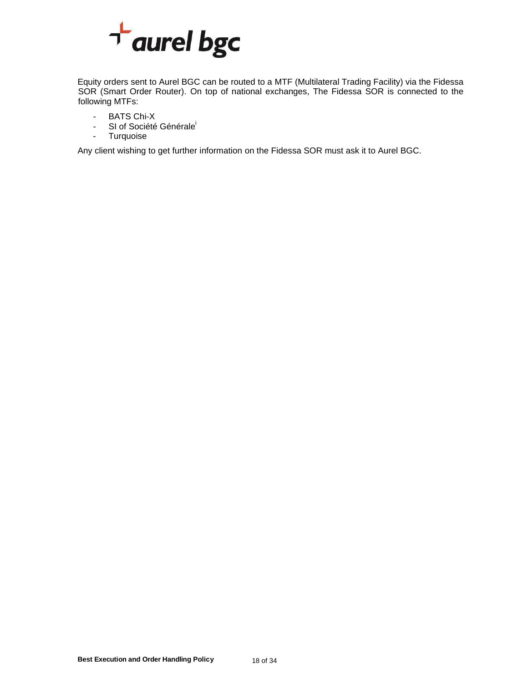

Equity orders sent to Aurel BGC can be routed to a MTF (Multilateral Trading Facility) via the Fidessa SOR (Smart Order Router). On top of national exchanges, The Fidessa SOR is connected to the following MTFs:

- BATS Chi-X
- SI of Société Générale<sup>i</sup><br>- Turquoise
- **Turquoise**

Any client wishing to get further information on the Fidessa SOR must ask it to Aurel BGC.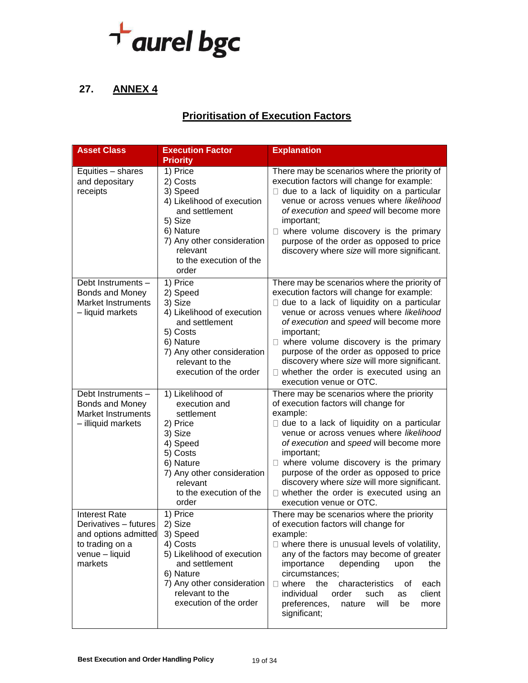# <sup>-</sup>aurel bgc

# **27. ANNEX 4**

# **Prioritisation of Execution Factors**

| <b>Asset Class</b>                                                                                                    | <b>Execution Factor</b>                                                                                                                                                                   | <b>Explanation</b>                                                                                                                                                                                                                                                                                                                                                                                                                                                       |
|-----------------------------------------------------------------------------------------------------------------------|-------------------------------------------------------------------------------------------------------------------------------------------------------------------------------------------|--------------------------------------------------------------------------------------------------------------------------------------------------------------------------------------------------------------------------------------------------------------------------------------------------------------------------------------------------------------------------------------------------------------------------------------------------------------------------|
|                                                                                                                       | <b>Priority</b>                                                                                                                                                                           |                                                                                                                                                                                                                                                                                                                                                                                                                                                                          |
| Equities - shares<br>and depositary<br>receipts                                                                       | 1) Price<br>2) Costs<br>3) Speed<br>4) Likelihood of execution<br>and settlement<br>5) Size<br>6) Nature<br>7) Any other consideration<br>relevant<br>to the execution of the<br>order    | There may be scenarios where the priority of<br>execution factors will change for example:<br>$\Box$ due to a lack of liquidity on a particular<br>venue or across venues where likelihood<br>of execution and speed will become more<br>important;<br>$\Box$ where volume discovery is the primary<br>purpose of the order as opposed to price<br>discovery where size will more significant.                                                                           |
| Debt Instruments -<br>Bonds and Money<br><b>Market Instruments</b><br>- liquid markets                                | 1) Price<br>2) Speed<br>3) Size<br>4) Likelihood of execution<br>and settlement<br>5) Costs<br>6) Nature<br>7) Any other consideration<br>relevant to the<br>execution of the order       | There may be scenarios where the priority of<br>execution factors will change for example:<br>I due to a lack of liquidity on a particular<br>venue or across venues where likelihood<br>of execution and speed will become more<br>important;<br>$\Box$ where volume discovery is the primary<br>purpose of the order as opposed to price<br>discovery where size will more significant.<br>$\Box$ whether the order is executed using an<br>execution venue or OTC.    |
| Debt Instruments -<br>Bonds and Money<br><b>Market Instruments</b><br>- illiquid markets                              | 1) Likelihood of<br>execution and<br>settlement<br>2) Price<br>3) Size<br>4) Speed<br>5) Costs<br>6) Nature<br>7) Any other consideration<br>relevant<br>to the execution of the<br>order | There may be scenarios where the priority<br>of execution factors will change for<br>example:<br>$\Box$ due to a lack of liquidity on a particular<br>venue or across venues where likelihood<br>of execution and speed will become more<br>important;<br>$\Box$ where volume discovery is the primary<br>purpose of the order as opposed to price<br>discovery where size will more significant.<br>□ whether the order is executed using an<br>execution venue or OTC. |
| <b>Interest Rate</b><br>Derivatives - futures<br>and options admitted<br>to trading on a<br>venue - liquid<br>markets | 1) Price<br>2) Size<br>3) Speed<br>4) Costs<br>5) Likelihood of execution<br>and settlement<br>6) Nature<br>7) Any other consideration<br>relevant to the<br>execution of the order       | There may be scenarios where the priority<br>of execution factors will change for<br>example:<br>$\Box$ where there is unusual levels of volatility,<br>any of the factors may become of greater<br>depending<br>importance<br>upon<br>the<br>circumstances;<br>where<br>the<br>characteristics<br>οf<br>each<br>$\perp$<br>individual<br>client<br>order<br>such<br>as<br>preferences,<br>will<br>be<br>nature<br>more<br>significant;                                  |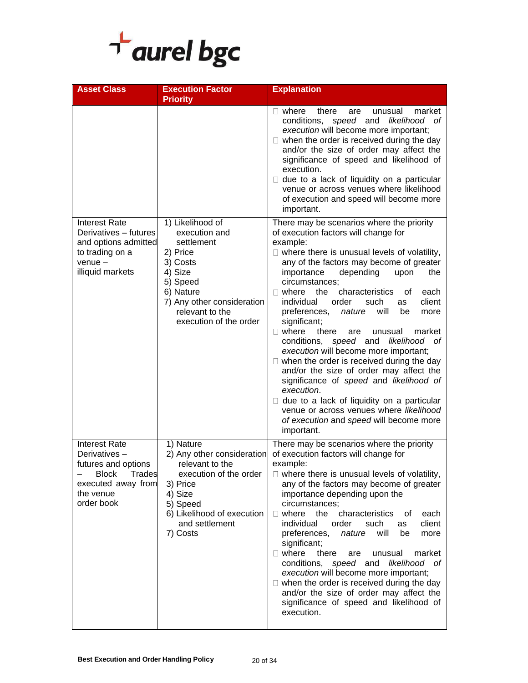

| <b>Asset Class</b>                                                                                                                            | <b>Execution Factor</b>                                                                                                                                                                | <b>Explanation</b>                                                                                                                                                                                                                                                                                                                                                                                                                                                                                                                                                                                                                                                                                                                                                                                                                                                                           |
|-----------------------------------------------------------------------------------------------------------------------------------------------|----------------------------------------------------------------------------------------------------------------------------------------------------------------------------------------|----------------------------------------------------------------------------------------------------------------------------------------------------------------------------------------------------------------------------------------------------------------------------------------------------------------------------------------------------------------------------------------------------------------------------------------------------------------------------------------------------------------------------------------------------------------------------------------------------------------------------------------------------------------------------------------------------------------------------------------------------------------------------------------------------------------------------------------------------------------------------------------------|
|                                                                                                                                               | <b>Priority</b>                                                                                                                                                                        |                                                                                                                                                                                                                                                                                                                                                                                                                                                                                                                                                                                                                                                                                                                                                                                                                                                                                              |
|                                                                                                                                               |                                                                                                                                                                                        | market<br>$\Box$ where<br>there<br>unusual<br>are<br>conditions, speed and<br>likelihood of<br>execution will become more important;<br>$\Box$ when the order is received during the day<br>and/or the size of order may affect the<br>significance of speed and likelihood of<br>execution.<br>$\Box$ due to a lack of liquidity on a particular<br>venue or across venues where likelihood<br>of execution and speed will become more<br>important.                                                                                                                                                                                                                                                                                                                                                                                                                                        |
| <b>Interest Rate</b><br>Derivatives - futures<br>and options admitted<br>to trading on a<br>$venue -$<br>illiquid markets                     | 1) Likelihood of<br>execution and<br>settlement<br>2) Price<br>3) Costs<br>4) Size<br>5) Speed<br>6) Nature<br>7) Any other consideration<br>relevant to the<br>execution of the order | There may be scenarios where the priority<br>of execution factors will change for<br>example:<br>$\Box$ where there is unusual levels of volatility,<br>any of the factors may become of greater<br>importance<br>depending<br>the<br>upon<br>circumstances:<br>$\Box$ where<br>the<br>characteristics<br>οf<br>each<br>client<br>individual<br>order<br>such<br>as<br>preferences,<br>will<br>nature<br>be<br>more<br>significant;<br>$\Box$ where<br>there<br>market<br>unusual<br>are<br>conditions, speed and<br>likelihood of<br>execution will become more important;<br>$\Box$ when the order is received during the day<br>and/or the size of order may affect the<br>significance of speed and likelihood of<br>execution.<br>$\Box$ due to a lack of liquidity on a particular<br>venue or across venues where likelihood<br>of execution and speed will become more<br>important. |
| <b>Interest Rate</b><br>Derivatives-<br>futures and options<br><b>Block</b><br><b>Trades</b><br>executed away from<br>the venue<br>order book | 1) Nature<br>2) Any other consideration<br>relevant to the<br>execution of the order<br>3) Price<br>4) Size<br>5) Speed<br>6) Likelihood of execution<br>and settlement<br>7) Costs    | There may be scenarios where the priority<br>of execution factors will change for<br>example:<br>$\Box$ where there is unusual levels of volatility,<br>any of the factors may become of greater<br>importance depending upon the<br>circumstances;<br>$\Box$ where<br>the<br>characteristics<br>each<br>of<br>individual<br>order<br>client<br>such<br>as<br>preferences,<br>will<br>be<br>nature<br>more<br>significant;<br>$\Box$ where<br>there<br>market<br>unusual<br>are<br>conditions, speed and<br>likelihood of<br>execution will become more important;<br>$\Box$ when the order is received during the day<br>and/or the size of order may affect the<br>significance of speed and likelihood of<br>execution.                                                                                                                                                                   |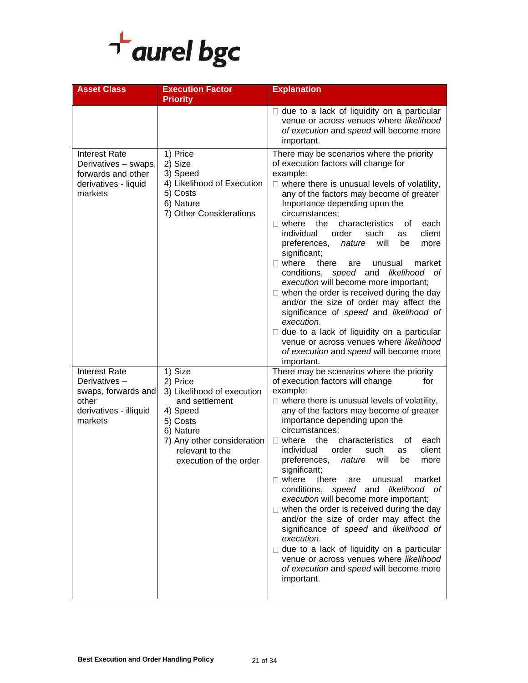

| <b>Asset Class</b>                                                                                        | <b>Execution Factor</b><br><b>Priority</b>                                                                                                                                          | <b>Explanation</b>                                                                                                                                                                                                                                                                                                                                                                                                                                                                                                                                                                                                                                                                                                                                                                                                                                                                  |
|-----------------------------------------------------------------------------------------------------------|-------------------------------------------------------------------------------------------------------------------------------------------------------------------------------------|-------------------------------------------------------------------------------------------------------------------------------------------------------------------------------------------------------------------------------------------------------------------------------------------------------------------------------------------------------------------------------------------------------------------------------------------------------------------------------------------------------------------------------------------------------------------------------------------------------------------------------------------------------------------------------------------------------------------------------------------------------------------------------------------------------------------------------------------------------------------------------------|
|                                                                                                           |                                                                                                                                                                                     | $\Box$ due to a lack of liquidity on a particular<br>venue or across venues where likelihood<br>of execution and speed will become more<br>important.                                                                                                                                                                                                                                                                                                                                                                                                                                                                                                                                                                                                                                                                                                                               |
| Interest Rate<br>Derivatives - swaps,<br>forwards and other<br>derivatives - liquid<br>markets            | 1) Price<br>2) Size<br>3) Speed<br>4) Likelihood of Execution<br>5) Costs<br>6) Nature<br>7) Other Considerations                                                                   | There may be scenarios where the priority<br>of execution factors will change for<br>example:<br>$\Box$ where there is unusual levels of volatility,<br>any of the factors may become of greater<br>Importance depending upon the<br>circumstances;<br>$\Box$ where<br>the<br>characteristics<br>each<br>0t<br>client<br>individual<br>order<br>such<br>as<br>preferences,<br>will<br>nature<br>be<br>more<br>significant;<br>$\Box$ where<br>there<br>market<br>unusual<br>are<br>conditions, speed and<br>likelihood of<br>execution will become more important;<br>$\Box$ when the order is received during the day<br>and/or the size of order may affect the<br>significance of speed and likelihood of<br>execution.<br>$\Box$ due to a lack of liquidity on a particular<br>venue or across venues where likelihood<br>of execution and speed will become more<br>important. |
| <b>Interest Rate</b><br>Derivatives-<br>swaps, forwards and<br>other<br>derivatives - illiquid<br>markets | 1) Size<br>2) Price<br>3) Likelihood of execution<br>and settlement<br>4) Speed<br>5) Costs<br>6) Nature<br>7) Any other consideration<br>relevant to the<br>execution of the order | There may be scenarios where the priority<br>of execution factors will change<br>for<br>example:<br>$\Box$ where there is unusual levels of volatility,<br>any of the factors may become of greater<br>importance depending upon the<br>circumstances;<br>$\Box$ where<br>the<br>characteristics<br>0f<br>each<br>individual<br>order<br>client<br>such<br>as<br>preferences,<br>will<br>nature<br>be<br>more<br>significant;<br>$\Box$ where<br>there<br>market<br>unusual<br>are<br>likelihood of<br>conditions, speed and<br>execution will become more important;<br>$\Box$ when the order is received during the day<br>and/or the size of order may affect the<br>significance of speed and likelihood of<br>execution.<br>I due to a lack of liquidity on a particular<br>venue or across venues where likelihood<br>of execution and speed will become more<br>important.   |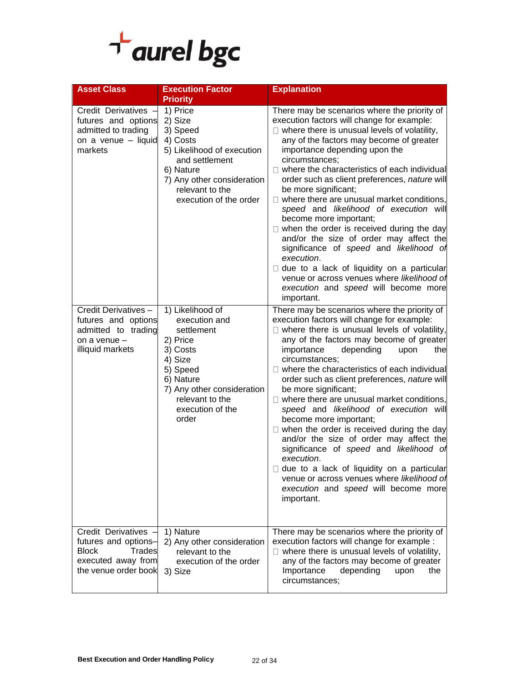

| <b>Asset Class</b>                                                                                                   | <b>Execution Factor</b><br><b>Priority</b>                                                                                                                                                | <b>Explanation</b>                                                                                                                                                                                                                                                                                                                                                                                                                                                                                                                                                                                                                                                                                                                                                                                                                   |
|----------------------------------------------------------------------------------------------------------------------|-------------------------------------------------------------------------------------------------------------------------------------------------------------------------------------------|--------------------------------------------------------------------------------------------------------------------------------------------------------------------------------------------------------------------------------------------------------------------------------------------------------------------------------------------------------------------------------------------------------------------------------------------------------------------------------------------------------------------------------------------------------------------------------------------------------------------------------------------------------------------------------------------------------------------------------------------------------------------------------------------------------------------------------------|
| Credit Derivatives -<br>futures and options<br>admitted to trading<br>on a venue - liquid<br>markets                 | 1) Price<br>2) Size<br>3) Speed<br>4) Costs<br>5) Likelihood of execution<br>and settlement<br>6) Nature<br>7) Any other consideration<br>relevant to the<br>execution of the order       | There may be scenarios where the priority of<br>execution factors will change for example:<br>$\Box$ where there is unusual levels of volatility,<br>any of the factors may become of greater<br>importance depending upon the<br>circumstances;<br>$\Box$ where the characteristics of each individual<br>order such as client preferences, nature will<br>be more significant;<br>$\Box$ where there are unusual market conditions,<br>speed and likelihood of execution will<br>become more important;<br>$\Box$ when the order is received during the day<br>and/or the size of order may affect the<br>significance of speed and likelihood of<br>execution.<br>$\Box$ due to a lack of liquidity on a particular<br>venue or across venues where likelihood of<br>execution and speed will become more<br>important.           |
| Credit Derivatives -<br>futures and options<br>admitted to trading<br>on a venue -<br>illiquid markets               | 1) Likelihood of<br>execution and<br>settlement<br>2) Price<br>3) Costs<br>4) Size<br>5) Speed<br>6) Nature<br>7) Any other consideration<br>relevant to the<br>execution of the<br>order | There may be scenarios where the priority of<br>execution factors will change for example:<br>$\Box$ where there is unusual levels of volatility,<br>any of the factors may become of greater<br>importance<br>depending<br>upon<br>thel<br>circumstances;<br>$\Box$ where the characteristics of each individual<br>order such as client preferences, nature will<br>be more significant;<br>$\Box$ where there are unusual market conditions,<br>speed and likelihood of execution will<br>become more important;<br>$\Box$ when the order is received during the day<br>and/or the size of order may affect the<br>significance of speed and likelihood of<br>execution.<br>$\Box$ due to a lack of liquidity on a particular<br>venue or across venues where likelihood of<br>execution and speed will become more<br>important. |
| Credit Derivatives -<br>futures and options-<br><b>Block</b><br>Trades<br>executed away from<br>the venue order book | 1) Nature<br>2) Any other consideration<br>relevant to the<br>execution of the order<br>3) Size                                                                                           | There may be scenarios where the priority of<br>execution factors will change for example :<br>$\Box$ where there is unusual levels of volatility,<br>any of the factors may become of greater<br>Importance<br>depending<br>upon<br>the<br>circumstances;                                                                                                                                                                                                                                                                                                                                                                                                                                                                                                                                                                           |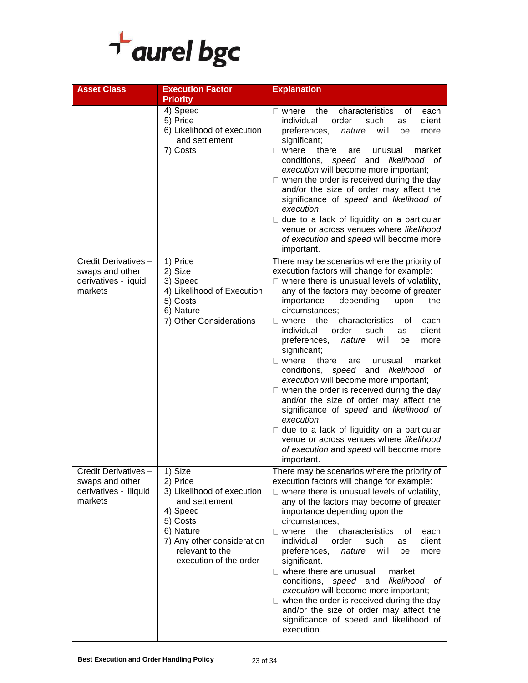

| <b>Asset Class</b>                                                           | <b>Execution Factor</b>                                                                                                                                                             | <b>Explanation</b>                                                                                                                                                                                                                                                                                                                                                                                                                                                                                                                                                                                                                                                                                                                                                                                                                                                                   |
|------------------------------------------------------------------------------|-------------------------------------------------------------------------------------------------------------------------------------------------------------------------------------|--------------------------------------------------------------------------------------------------------------------------------------------------------------------------------------------------------------------------------------------------------------------------------------------------------------------------------------------------------------------------------------------------------------------------------------------------------------------------------------------------------------------------------------------------------------------------------------------------------------------------------------------------------------------------------------------------------------------------------------------------------------------------------------------------------------------------------------------------------------------------------------|
|                                                                              | <b>Priority</b>                                                                                                                                                                     |                                                                                                                                                                                                                                                                                                                                                                                                                                                                                                                                                                                                                                                                                                                                                                                                                                                                                      |
|                                                                              | 4) Speed<br>5) Price<br>6) Likelihood of execution<br>and settlement<br>7) Costs                                                                                                    | the<br>$\Box$ where<br>characteristics<br>of<br>each<br>individual<br>order<br>such<br>client<br>as<br>preferences,<br>will<br>nature<br>be<br>more<br>significant;<br>$\Box$ where<br>there<br>market<br>unusual<br>are<br>conditions, speed and likelihood of<br>execution will become more important;<br>$\Box$ when the order is received during the day<br>and/or the size of order may affect the<br>significance of speed and likelihood of<br>execution.<br>I due to a lack of liquidity on a particular<br>venue or across venues where likelihood<br>of execution and speed will become more<br>important.                                                                                                                                                                                                                                                                 |
| Credit Derivatives -<br>swaps and other<br>derivatives - liquid<br>markets   | 1) Price<br>2) Size<br>3) Speed<br>4) Likelihood of Execution<br>5) Costs<br>6) Nature<br>7) Other Considerations                                                                   | There may be scenarios where the priority of<br>execution factors will change for example:<br>$\Box$ where there is unusual levels of volatility,<br>any of the factors may become of greater<br>importance<br>depending<br>the<br>upon<br>circumstances;<br>characteristics<br>where<br>the<br>each<br>οf<br>П<br>individual<br>client<br>order<br>such<br>as<br>preferences,<br>will<br>nature<br>be<br>more<br>significant;<br>$\Box$ where<br>there<br>market<br>unusual<br>are<br>conditions, speed and likelihood of<br>execution will become more important;<br>$\Box$ when the order is received during the day<br>and/or the size of order may affect the<br>significance of speed and likelihood of<br>execution.<br>$\Box$ due to a lack of liquidity on a particular<br>venue or across venues where likelihood<br>of execution and speed will become more<br>important. |
| Credit Derivatives -<br>swaps and other<br>derivatives - illiquid<br>markets | 1) Size<br>2) Price<br>3) Likelihood of execution<br>and settlement<br>4) Speed<br>5) Costs<br>6) Nature<br>7) Any other consideration<br>relevant to the<br>execution of the order | There may be scenarios where the priority of<br>execution factors will change for example:<br>$\Box$ where there is unusual levels of volatility,<br>any of the factors may become of greater<br>importance depending upon the<br>circumstances;<br>the<br>where<br>characteristics<br>of<br>each<br>$\mathbf{L}$<br>individual<br>order<br>such<br>client<br>as<br>preferences,<br>will<br>nature<br>be<br>more<br>significant.<br>$\Box$ where there are unusual<br>market<br>likelihood of<br>conditions, speed and<br>execution will become more important;<br>$\Box$ when the order is received during the day<br>and/or the size of order may affect the<br>significance of speed and likelihood of<br>execution.                                                                                                                                                              |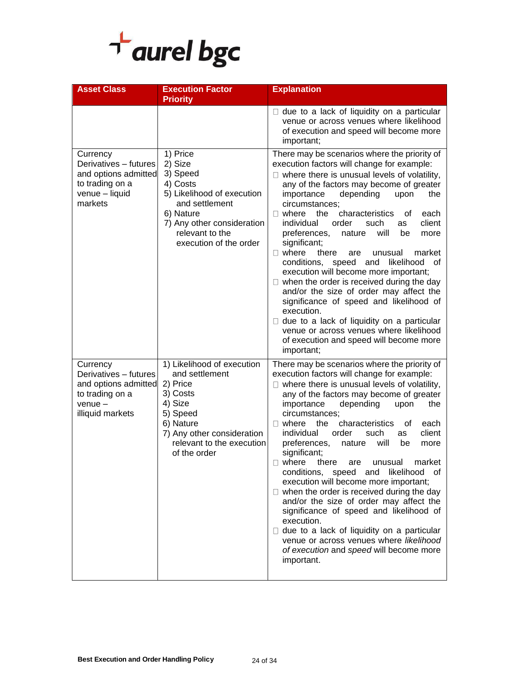

| <b>Asset Class</b>                                                                                            | <b>Execution Factor</b><br><b>Priority</b>                                                                                                                                          | <b>Explanation</b>                                                                                                                                                                                                                                                                                                                                                                                                                                                                                                                                                                                                                                                                                                                                                                                                                                                                              |
|---------------------------------------------------------------------------------------------------------------|-------------------------------------------------------------------------------------------------------------------------------------------------------------------------------------|-------------------------------------------------------------------------------------------------------------------------------------------------------------------------------------------------------------------------------------------------------------------------------------------------------------------------------------------------------------------------------------------------------------------------------------------------------------------------------------------------------------------------------------------------------------------------------------------------------------------------------------------------------------------------------------------------------------------------------------------------------------------------------------------------------------------------------------------------------------------------------------------------|
|                                                                                                               |                                                                                                                                                                                     | $\Box$ due to a lack of liquidity on a particular<br>venue or across venues where likelihood<br>of execution and speed will become more<br>important;                                                                                                                                                                                                                                                                                                                                                                                                                                                                                                                                                                                                                                                                                                                                           |
| Currency<br>Derivatives - futures<br>and options admitted<br>to trading on a<br>venue - liquid<br>markets     | 1) Price<br>2) Size<br>3) Speed<br>4) Costs<br>5) Likelihood of execution<br>and settlement<br>6) Nature<br>7) Any other consideration<br>relevant to the<br>execution of the order | There may be scenarios where the priority of<br>execution factors will change for example:<br>$\Box$ where there is unusual levels of volatility,<br>any of the factors may become of greater<br>depending<br>importance<br>the<br>upon<br>circumstances:<br>$\Box$ where<br>the<br>characteristics<br>οf<br>each<br>individual<br>order<br>such<br>client<br>as<br>preferences,<br>will<br>be<br>nature<br>more<br>significant;<br>$\Box$ where<br>there<br>unusual<br>market<br>are<br>conditions, speed<br>and<br>likelihood of<br>execution will become more important;<br>$\Box$ when the order is received during the day<br>and/or the size of order may affect the<br>significance of speed and likelihood of<br>execution.<br>$\Box$ due to a lack of liquidity on a particular<br>venue or across venues where likelihood<br>of execution and speed will become more<br>important;    |
| Currency<br>Derivatives - futures<br>and options admitted<br>to trading on a<br>$venue -$<br>illiquid markets | 1) Likelihood of execution<br>and settlement<br>2) Price<br>3) Costs<br>4) Size<br>5) Speed<br>6) Nature<br>7) Any other consideration<br>relevant to the execution<br>of the order | There may be scenarios where the priority of<br>execution factors will change for example:<br>$\Box$ where there is unusual levels of volatility,<br>any of the factors may become of greater<br>importance<br>depending<br>upon<br>the<br>circumstances;<br>$\Box$ where<br>the<br>characteristics<br>οf<br>each<br>individual<br>order<br>such<br>client<br>as<br>preferences,<br>will<br>nature<br>be<br>more<br>significant;<br>$\Box$ where<br>market<br>there<br>unusual<br>are<br>conditions, speed<br>likelihood<br>and<br>ot<br>execution will become more important;<br>$\Box$ when the order is received during the day<br>and/or the size of order may affect the<br>significance of speed and likelihood of<br>execution.<br>$\Box$ due to a lack of liquidity on a particular<br>venue or across venues where likelihood<br>of execution and speed will become more<br>important. |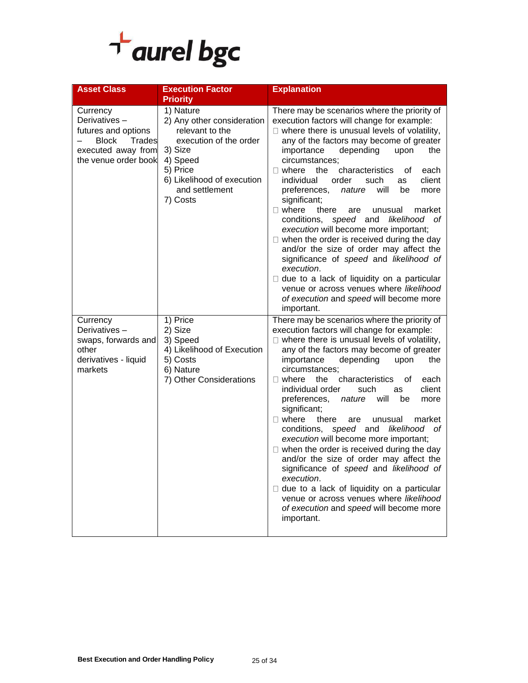

| <b>Asset Class</b>                                                                                                      | <b>Execution Factor</b><br><b>Priority</b>                                                                                                                                          | <b>Explanation</b>                                                                                                                                                                                                                                                                                                                                                                                                                                                                                                                                                                                                                                                                                                                                                                                                                                                                              |
|-------------------------------------------------------------------------------------------------------------------------|-------------------------------------------------------------------------------------------------------------------------------------------------------------------------------------|-------------------------------------------------------------------------------------------------------------------------------------------------------------------------------------------------------------------------------------------------------------------------------------------------------------------------------------------------------------------------------------------------------------------------------------------------------------------------------------------------------------------------------------------------------------------------------------------------------------------------------------------------------------------------------------------------------------------------------------------------------------------------------------------------------------------------------------------------------------------------------------------------|
| Currency<br>Derivatives-<br>futures and options<br><b>Block</b><br>Trades<br>executed away from<br>the venue order book | 1) Nature<br>2) Any other consideration<br>relevant to the<br>execution of the order<br>3) Size<br>4) Speed<br>5) Price<br>6) Likelihood of execution<br>and settlement<br>7) Costs | There may be scenarios where the priority of<br>execution factors will change for example:<br>$\Box$ where there is unusual levels of volatility,<br>any of the factors may become of greater<br>importance<br>depending<br>upon<br>the<br>circumstances;<br>where<br>the<br>characteristics<br>of<br>each<br>$\mathbf{L}$<br>client<br>individual<br>order<br>such<br>as<br>preferences,<br>will<br>be<br>nature<br>more<br>significant;<br>$\Box$ where<br>market<br>there<br>unusual<br>are<br>conditions, speed and likelihood of<br>execution will become more important;<br>$\Box$ when the order is received during the day<br>and/or the size of order may affect the<br>significance of speed and likelihood of<br>execution.<br>$\Box$ due to a lack of liquidity on a particular<br>venue or across venues where likelihood<br>of execution and speed will become more<br>important. |
| Currency<br>Derivatives-<br>swaps, forwards and<br>other<br>derivatives - liquid<br>markets                             | 1) Price<br>2) Size<br>3) Speed<br>4) Likelihood of Execution<br>5) Costs<br>6) Nature<br>7) Other Considerations                                                                   | There may be scenarios where the priority of<br>execution factors will change for example:<br>$\Box$ where there is unusual levels of volatility,<br>any of the factors may become of greater<br>importance<br>depending<br>the<br>upon<br>circumstances;<br>the<br>characteristics<br>$\Box$ where<br>of.<br>each<br>individual order<br>client<br>such<br>as<br>preferences,<br>will<br>be<br>more<br>nature<br>significant;<br>$\Box$ where<br>there<br>market<br>unusual<br>are<br>conditions, speed and likelihood of<br>execution will become more important;<br>$\Box$ when the order is received during the day<br>and/or the size of order may affect the<br>significance of speed and likelihood of<br>execution.<br>$\Box$ due to a lack of liquidity on a particular<br>venue or across venues where likelihood<br>of execution and speed will become more<br>important.            |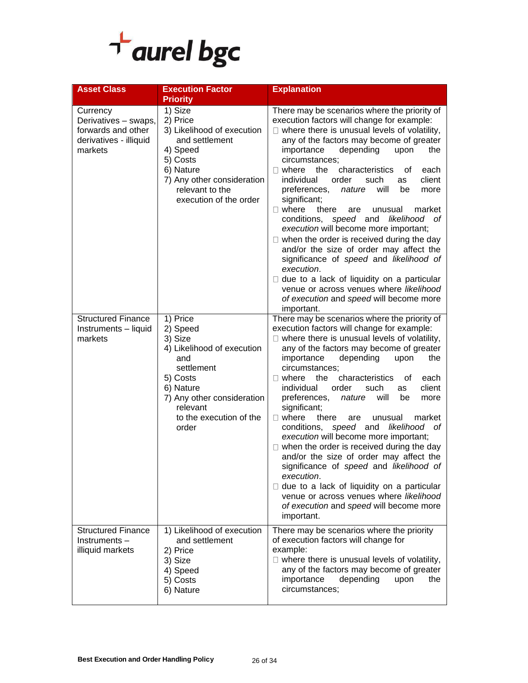

| <b>Asset Class</b>                                                                          | <b>Execution Factor</b><br><b>Priority</b>                                                                                                                                                | <b>Explanation</b>                                                                                                                                                                                                                                                                                                                                                                                                                                                                                                                                                                                                                                                                                                                                                                                                                                                                        |
|---------------------------------------------------------------------------------------------|-------------------------------------------------------------------------------------------------------------------------------------------------------------------------------------------|-------------------------------------------------------------------------------------------------------------------------------------------------------------------------------------------------------------------------------------------------------------------------------------------------------------------------------------------------------------------------------------------------------------------------------------------------------------------------------------------------------------------------------------------------------------------------------------------------------------------------------------------------------------------------------------------------------------------------------------------------------------------------------------------------------------------------------------------------------------------------------------------|
| Currency<br>Derivatives - swaps,<br>forwards and other<br>derivatives - illiquid<br>markets | 1) Size<br>2) Price<br>3) Likelihood of execution<br>and settlement<br>4) Speed<br>5) Costs<br>6) Nature<br>7) Any other consideration<br>relevant to the<br>execution of the order       | There may be scenarios where the priority of<br>execution factors will change for example:<br>$\Box$ where there is unusual levels of volatility,<br>any of the factors may become of greater<br>depending<br>importance<br>the<br>upon<br>circumstances;<br>$\Box$ where<br>the<br>characteristics<br>each<br>οf<br>individual<br>client<br>order<br>such<br>as<br>preferences,<br>will<br>nature<br>be<br>more<br>significant;<br>$\Box$ where<br>there<br>market<br>unusual<br>are<br>conditions, speed and likelihood of<br>execution will become more important;<br>$\Box$ when the order is received during the day<br>and/or the size of order may affect the<br>significance of speed and likelihood of<br>execution.<br>$\Box$ due to a lack of liquidity on a particular<br>venue or across venues where likelihood<br>of execution and speed will become more<br>important.    |
| <b>Structured Finance</b><br>Instruments - liquid<br>markets                                | 1) Price<br>2) Speed<br>3) Size<br>4) Likelihood of execution<br>and<br>settlement<br>5) Costs<br>6) Nature<br>7) Any other consideration<br>relevant<br>to the execution of the<br>order | There may be scenarios where the priority of<br>execution factors will change for example:<br>$\Box$ where there is unusual levels of volatility,<br>any of the factors may become of greater<br>depending<br>importance<br>the<br>upon<br>circumstances;<br>$\Box$ where<br>the<br>characteristics<br>each<br>οf<br>client<br>individual<br>order<br>such<br>as<br>preferences,<br>will<br>nature<br>be<br>more<br>significant;<br>$\Box$ where<br>there<br>market<br>unusual<br>are<br>conditions,<br>speed and likelihood of<br>execution will become more important;<br>$\Box$ when the order is received during the day<br>and/or the size of order may affect the<br>significance of speed and likelihood of<br>execution.<br>$\Box$ due to a lack of liquidity on a particular<br>venue or across venues where likelihood<br>of execution and speed will become more<br>important. |
| <b>Structured Finance</b><br>Instruments-<br>illiquid markets                               | 1) Likelihood of execution<br>and settlement<br>2) Price<br>3) Size<br>4) Speed<br>5) Costs<br>6) Nature                                                                                  | There may be scenarios where the priority<br>of execution factors will change for<br>example:<br>$\Box$ where there is unusual levels of volatility,<br>any of the factors may become of greater<br>depending<br>importance<br>upon<br>the<br>circumstances;                                                                                                                                                                                                                                                                                                                                                                                                                                                                                                                                                                                                                              |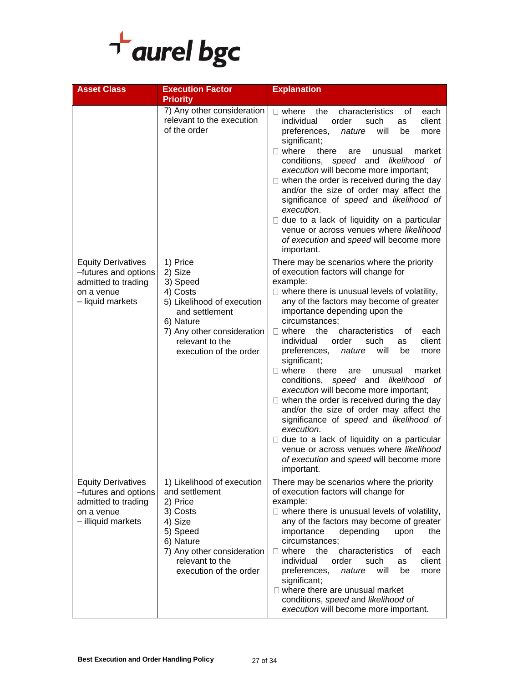

| <b>Asset Class</b>                                                                                           | <b>Execution Factor</b><br><b>Priority</b>                                                                                                                                          | <b>Explanation</b>                                                                                                                                                                                                                                                                                                                                                                                                                                                                                                                                                                                                                                                                                                                                                                                                                                                               |
|--------------------------------------------------------------------------------------------------------------|-------------------------------------------------------------------------------------------------------------------------------------------------------------------------------------|----------------------------------------------------------------------------------------------------------------------------------------------------------------------------------------------------------------------------------------------------------------------------------------------------------------------------------------------------------------------------------------------------------------------------------------------------------------------------------------------------------------------------------------------------------------------------------------------------------------------------------------------------------------------------------------------------------------------------------------------------------------------------------------------------------------------------------------------------------------------------------|
|                                                                                                              | 7) Any other consideration<br>relevant to the execution<br>of the order                                                                                                             | $\Box$ where<br>the<br>characteristics<br>of<br>each<br>individual<br>order<br>such<br>client<br>as<br>preferences,<br>will<br>nature<br>be<br>more<br>significant;<br>$\Box$ where<br>there<br>market<br>unusual<br>are<br>conditions, speed and likelihood of<br>execution will become more important;<br>$\Box$ when the order is received during the day<br>and/or the size of order may affect the<br>significance of speed and likelihood of<br>execution.<br>$\Box$ due to a lack of liquidity on a particular<br>venue or across venues where likelihood<br>of execution and speed will become more<br>important.                                                                                                                                                                                                                                                        |
| <b>Equity Derivatives</b><br>-futures and options<br>admitted to trading<br>on a venue<br>- liquid markets   | 1) Price<br>2) Size<br>3) Speed<br>4) Costs<br>5) Likelihood of execution<br>and settlement<br>6) Nature<br>7) Any other consideration<br>relevant to the<br>execution of the order | There may be scenarios where the priority<br>of execution factors will change for<br>example:<br>$\Box$ where there is unusual levels of volatility,<br>any of the factors may become of greater<br>importance depending upon the<br>circumstances;<br>characteristics<br>$\Box$ where<br>the<br>each<br>οf<br>client<br>individual<br>order<br>such<br>as<br>preferences,<br>will<br>nature<br>be<br>more<br>significant;<br>there<br>$\Box$ where<br>market<br>unusual<br>are<br>conditions, speed and likelihood of<br>execution will become more important;<br>$\Box$ when the order is received during the day<br>and/or the size of order may affect the<br>significance of speed and likelihood of<br>execution.<br>$\Box$ due to a lack of liquidity on a particular<br>venue or across venues where likelihood<br>of execution and speed will become more<br>important. |
| <b>Equity Derivatives</b><br>-futures and options<br>admitted to trading<br>on a venue<br>- illiquid markets | 1) Likelihood of execution<br>and settlement<br>2) Price<br>3) Costs<br>4) Size<br>5) Speed<br>6) Nature<br>7) Any other consideration<br>relevant to the<br>execution of the order | There may be scenarios where the priority<br>of execution factors will change for<br>example:<br>$\Box$ where there is unusual levels of volatility,<br>any of the factors may become of greater<br>depending<br>importance<br>the<br>upon<br>circumstances;<br>$\Box$ where<br>the<br>characteristics<br>οf<br>each<br>individual<br>order<br>such<br>client<br>as<br>will<br>preferences,<br>nature<br>be<br>more<br>significant;<br>$\Box$ where there are unusual market<br>conditions, speed and likelihood of<br>execution will become more important.                                                                                                                                                                                                                                                                                                                     |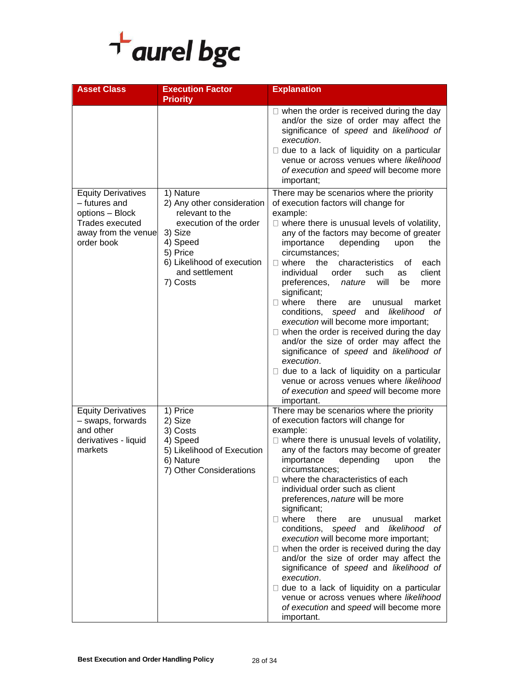

| <b>Asset Class</b>                                                                                                    | <b>Execution Factor</b><br><b>Priority</b>                                                                                                                                          | <b>Explanation</b>                                                                                                                                                                                                                                                                                                                                                                                                                                                                                                                                                                                                                                                                                                                                                                                                                                                                   |
|-----------------------------------------------------------------------------------------------------------------------|-------------------------------------------------------------------------------------------------------------------------------------------------------------------------------------|--------------------------------------------------------------------------------------------------------------------------------------------------------------------------------------------------------------------------------------------------------------------------------------------------------------------------------------------------------------------------------------------------------------------------------------------------------------------------------------------------------------------------------------------------------------------------------------------------------------------------------------------------------------------------------------------------------------------------------------------------------------------------------------------------------------------------------------------------------------------------------------|
|                                                                                                                       |                                                                                                                                                                                     | $\Box$ when the order is received during the day<br>and/or the size of order may affect the<br>significance of speed and likelihood of<br>execution.<br>$\Box$ due to a lack of liquidity on a particular<br>venue or across venues where likelihood<br>of execution and speed will become more<br>important;                                                                                                                                                                                                                                                                                                                                                                                                                                                                                                                                                                        |
| <b>Equity Derivatives</b><br>- futures and<br>options - Block<br>Trades executed<br>away from the venue<br>order book | 1) Nature<br>2) Any other consideration<br>relevant to the<br>execution of the order<br>3) Size<br>4) Speed<br>5) Price<br>6) Likelihood of execution<br>and settlement<br>7) Costs | There may be scenarios where the priority<br>of execution factors will change for<br>example:<br>$\Box$ where there is unusual levels of volatility,<br>any of the factors may become of greater<br>importance<br>depending<br>the<br>upon<br>circumstances;<br>$\Box$ where<br>the<br>characteristics<br>of<br>each<br>client<br>individual<br>order<br>such<br>as<br>will<br>preferences,<br>nature<br>be<br>more<br>significant;<br>$\Box$ where<br>market<br>there<br>unusual<br>are<br>conditions, speed and likelihood of<br>execution will become more important;<br>$\Box$ when the order is received during the day<br>and/or the size of order may affect the<br>significance of speed and likelihood of<br>execution.<br>I due to a lack of liquidity on a particular<br>venue or across venues where likelihood<br>of execution and speed will become more<br>important. |
| <b>Equity Derivatives</b><br>- swaps, forwards<br>and other<br>derivatives - liquid<br>markets                        | 1) Price<br>2) Size<br>3) Costs<br>4) Speed<br>5) Likelihood of Execution<br>6) Nature<br>7) Other Considerations                                                                   | There may be scenarios where the priority<br>of execution factors will change for<br>example:<br>$\Box$ where there is unusual levels of volatility,<br>any of the factors may become of greater<br>importance<br>depending<br>upon<br>the<br>circumstances;<br>$\Box$ where the characteristics of each<br>individual order such as client<br>preferences, nature will be more<br>significant;<br>$\Box$ where<br>there<br>market<br>are<br>unusual<br>conditions, speed and likelihood of<br>execution will become more important;<br>$\Box$ when the order is received during the day<br>and/or the size of order may affect the<br>significance of speed and likelihood of<br>execution.<br>I due to a lack of liquidity on a particular<br>venue or across venues where likelihood<br>of execution and speed will become more<br>important.                                     |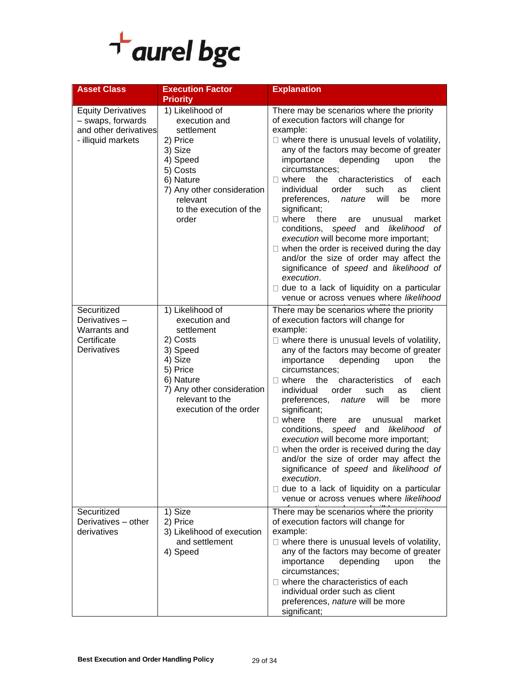

| <b>Asset Class</b>                                                                            | <b>Execution Factor</b>                                                                                                                                                                   | <b>Explanation</b>                                                                                                                                                                                                                                                                                                                                                                                                                                                                                                                                                                                                                                                                                                                                                                                                                  |
|-----------------------------------------------------------------------------------------------|-------------------------------------------------------------------------------------------------------------------------------------------------------------------------------------------|-------------------------------------------------------------------------------------------------------------------------------------------------------------------------------------------------------------------------------------------------------------------------------------------------------------------------------------------------------------------------------------------------------------------------------------------------------------------------------------------------------------------------------------------------------------------------------------------------------------------------------------------------------------------------------------------------------------------------------------------------------------------------------------------------------------------------------------|
|                                                                                               | <b>Priority</b>                                                                                                                                                                           |                                                                                                                                                                                                                                                                                                                                                                                                                                                                                                                                                                                                                                                                                                                                                                                                                                     |
| <b>Equity Derivatives</b><br>- swaps, forwards<br>and other derivatives<br>- illiquid markets | 1) Likelihood of<br>execution and<br>settlement<br>2) Price<br>3) Size<br>4) Speed<br>5) Costs<br>6) Nature<br>7) Any other consideration<br>relevant<br>to the execution of the<br>order | There may be scenarios where the priority<br>of execution factors will change for<br>example:<br>$\Box$ where there is unusual levels of volatility,<br>any of the factors may become of greater<br>importance<br>depending<br>upon<br>the<br>circumstances;<br>$\Box$ where<br>the<br>characteristics<br>each<br>οf<br>individual<br>order<br>client<br>such<br>as<br>preferences,<br>will<br>nature<br>be<br>more<br>significant;<br>$\Box$ where<br>there<br>market<br>unusual<br>are<br>conditions, speed and<br>likelihood of<br>execution will become more important;<br>$\Box$ when the order is received during the day<br>and/or the size of order may affect the<br>significance of speed and likelihood of<br>execution.<br>$\Box$ due to a lack of liquidity on a particular<br>venue or across venues where likelihood |
| Securitized<br>Derivatives-<br>Warrants and<br>Certificate<br>Derivatives                     | 1) Likelihood of<br>execution and<br>settlement<br>2) Costs<br>3) Speed<br>4) Size<br>5) Price<br>6) Nature<br>7) Any other consideration<br>relevant to the<br>execution of the order    | There may be scenarios where the priority<br>of execution factors will change for<br>example:<br>$\Box$ where there is unusual levels of volatility,<br>any of the factors may become of greater<br>importance<br>depending<br>the<br>upon<br>circumstances;<br>$\Box$ where<br>the<br>characteristics<br>0f<br>each<br>individual<br>order<br>such<br>client<br>as<br>preferences,<br>will<br>be<br>nature<br>more<br>significant;<br>$\Box$ where<br>market<br>there<br>unusual<br>are<br>conditions, speed and likelihood of<br>execution will become more important;<br>$\Box$ when the order is received during the day<br>and/or the size of order may affect the<br>significance of speed and likelihood of<br>execution.<br>$\Box$ due to a lack of liquidity on a particular<br>venue or across venues where likelihood    |
| Securitized<br>Derivatives - other<br>derivatives                                             | $1)$ Size<br>2) Price<br>3) Likelihood of execution<br>and settlement<br>4) Speed                                                                                                         | There may be scenarios where the priority<br>of execution factors will change for<br>example:<br>$\Box$ where there is unusual levels of volatility,<br>any of the factors may become of greater<br>depending<br>the<br>importance<br>upon<br>circumstances;<br>$\Box$ where the characteristics of each<br>individual order such as client<br>preferences, nature will be more<br>significant;                                                                                                                                                                                                                                                                                                                                                                                                                                     |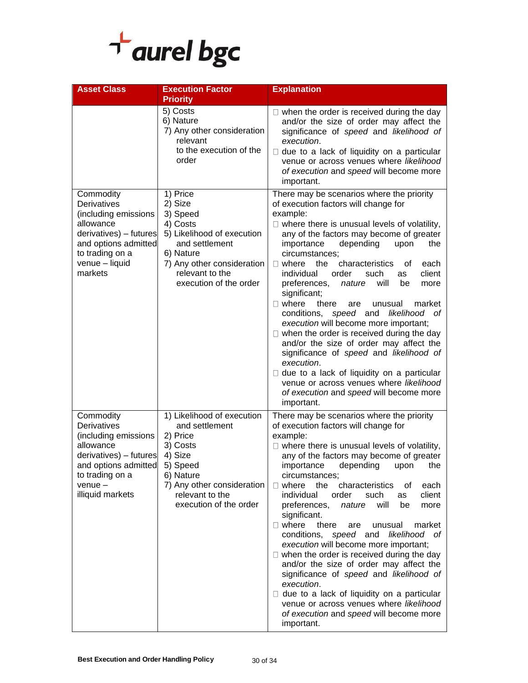

| <b>Asset Class</b>                                                                                                                                                        | <b>Execution Factor</b>                                                                                                                                                             | <b>Explanation</b>                                                                                                                                                                                                                                                                                                                                                                                                                                                                                                                                                                                                                                                                                                                                                                                                                                                                        |
|---------------------------------------------------------------------------------------------------------------------------------------------------------------------------|-------------------------------------------------------------------------------------------------------------------------------------------------------------------------------------|-------------------------------------------------------------------------------------------------------------------------------------------------------------------------------------------------------------------------------------------------------------------------------------------------------------------------------------------------------------------------------------------------------------------------------------------------------------------------------------------------------------------------------------------------------------------------------------------------------------------------------------------------------------------------------------------------------------------------------------------------------------------------------------------------------------------------------------------------------------------------------------------|
|                                                                                                                                                                           | <b>Priority</b>                                                                                                                                                                     |                                                                                                                                                                                                                                                                                                                                                                                                                                                                                                                                                                                                                                                                                                                                                                                                                                                                                           |
|                                                                                                                                                                           | 5) Costs<br>6) Nature<br>7) Any other consideration<br>relevant<br>to the execution of the<br>order                                                                                 | $\Box$ when the order is received during the day<br>and/or the size of order may affect the<br>significance of speed and likelihood of<br>execution.<br>$\Box$ due to a lack of liquidity on a particular<br>venue or across venues where likelihood<br>of execution and speed will become more<br>important.                                                                                                                                                                                                                                                                                                                                                                                                                                                                                                                                                                             |
| Commodity<br><b>Derivatives</b><br>(including emissions<br>allowance<br>$derivatives$ ) – futures<br>and options admitted<br>to trading on a<br>venue - liquid<br>markets | 1) Price<br>2) Size<br>3) Speed<br>4) Costs<br>5) Likelihood of execution<br>and settlement<br>6) Nature<br>7) Any other consideration<br>relevant to the<br>execution of the order | There may be scenarios where the priority<br>of execution factors will change for<br>example:<br>$\Box$ where there is unusual levels of volatility,<br>any of the factors may become of greater<br>depending<br>importance<br>upon<br>the<br>circumstances;<br>$\Box$ where<br>the<br>each<br>characteristics<br>οf<br>individual<br>client<br>order<br>such<br>as<br>will<br>preferences,<br>nature<br>be<br>more<br>significant;<br>$\Box$ where<br>there<br>market<br>unusual<br>are<br>conditions, speed and likelihood of<br>execution will become more important;<br>$\Box$ when the order is received during the day<br>and/or the size of order may affect the<br>significance of speed and likelihood of<br>execution.<br>$\Box$ due to a lack of liquidity on a particular<br>venue or across venues where likelihood<br>of execution and speed will become more<br>important. |
| Commodity<br>Derivatives<br>(including emissions<br>allowance<br>derivatives) - futures<br>and options admitted<br>to trading on a<br>$venue -$<br>illiquid markets       | 1) Likelihood of execution<br>and settlement<br>2) Price<br>3) Costs<br>4) Size<br>5) Speed<br>6) Nature<br>7) Any other consideration<br>relevant to the<br>execution of the order | There may be scenarios where the priority<br>of execution factors will change for<br>example:<br>$\Box$ where there is unusual levels of volatility,<br>any of the factors may become of greater<br>importance<br>depending<br>the<br>upon<br>circumstances;<br>$\Box$ where<br>the characteristics of<br>each<br>individual<br>client<br>order<br>such<br>as<br>preferences,<br>nature will<br>be<br>more<br>significant.<br>$\Box$ where<br>there<br>market<br>are<br>unusual<br>conditions, speed and likelihood of<br>execution will become more important;<br>$\Box$ when the order is received during the day<br>and/or the size of order may affect the<br>significance of speed and likelihood of<br>execution.<br>$\Box$ due to a lack of liquidity on a particular<br>venue or across venues where likelihood<br>of execution and speed will become more<br>important.          |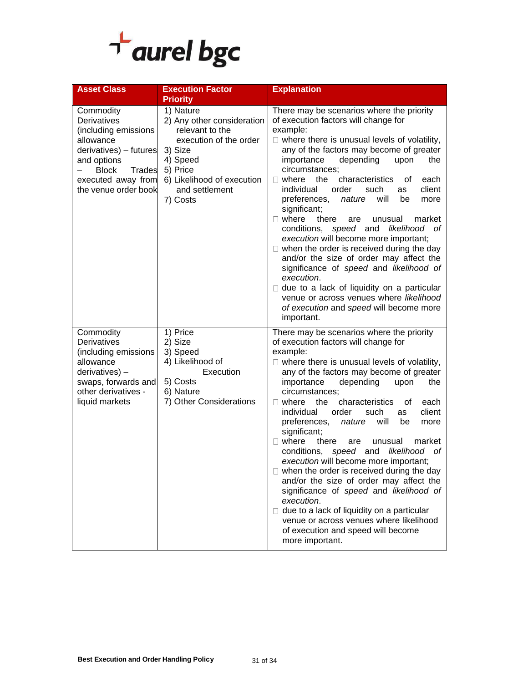

| <b>Asset Class</b>                                                                                                                                                                    | <b>Execution Factor</b><br><b>Priority</b>                                                                                                                                          | <b>Explanation</b>                                                                                                                                                                                                                                                                                                                                                                                                                                                                                                                                                                                                                                                                                                                                                                                                                                                                              |
|---------------------------------------------------------------------------------------------------------------------------------------------------------------------------------------|-------------------------------------------------------------------------------------------------------------------------------------------------------------------------------------|-------------------------------------------------------------------------------------------------------------------------------------------------------------------------------------------------------------------------------------------------------------------------------------------------------------------------------------------------------------------------------------------------------------------------------------------------------------------------------------------------------------------------------------------------------------------------------------------------------------------------------------------------------------------------------------------------------------------------------------------------------------------------------------------------------------------------------------------------------------------------------------------------|
| Commodity<br>Derivatives<br>(including emissions<br>allowance<br>derivatives) – futures<br>and options<br><b>Block</b><br><b>Trades</b><br>executed away from<br>the venue order book | 1) Nature<br>2) Any other consideration<br>relevant to the<br>execution of the order<br>3) Size<br>4) Speed<br>5) Price<br>6) Likelihood of execution<br>and settlement<br>7) Costs | There may be scenarios where the priority<br>of execution factors will change for<br>example:<br>$\Box$ where there is unusual levels of volatility,<br>any of the factors may become of greater<br>importance<br>depending<br>upon<br>the<br>circumstances;<br>$\Box$ where<br>the<br>characteristics<br>each<br>οf<br>individual<br>order<br>client<br>such<br>as<br>will<br>preferences,<br>nature<br>be<br>more<br>significant;<br>$\Box$ where<br>market<br>there<br>unusual<br>are<br>conditions,<br>speed and<br>likelihood of<br>execution will become more important;<br>$\Box$ when the order is received during the day<br>and/or the size of order may affect the<br>significance of speed and likelihood of<br>execution.<br>$\Box$ due to a lack of liquidity on a particular<br>venue or across venues where likelihood<br>of execution and speed will become more<br>important. |
| Commodity<br>Derivatives<br>(including emissions<br>allowance<br>derivatives) -<br>swaps, forwards and<br>other derivatives -<br>liquid markets                                       | 1) Price<br>2) Size<br>3) Speed<br>4) Likelihood of<br>Execution<br>5) Costs<br>6) Nature<br>7) Other Considerations                                                                | There may be scenarios where the priority<br>of execution factors will change for<br>example:<br>$\Box$ where there is unusual levels of volatility,<br>any of the factors may become of greater<br>depending<br>importance<br>the<br>upon<br>circumstances;<br>$\Box$ where<br>the<br>characteristics<br>0f<br>each<br>individual<br>order<br>such<br>client<br>as<br>preferences,<br>will<br>be<br>nature<br>more<br>significant;<br>$\Box$ where<br>market<br>there<br>unusual<br>are<br>likelihood of<br>conditions,<br>speed and<br>execution will become more important;<br>$\Box$ when the order is received during the day<br>and/or the size of order may affect the<br>significance of speed and likelihood of<br>execution.<br>$\Box$ due to a lack of liquidity on a particular<br>venue or across venues where likelihood<br>of execution and speed will become<br>more important. |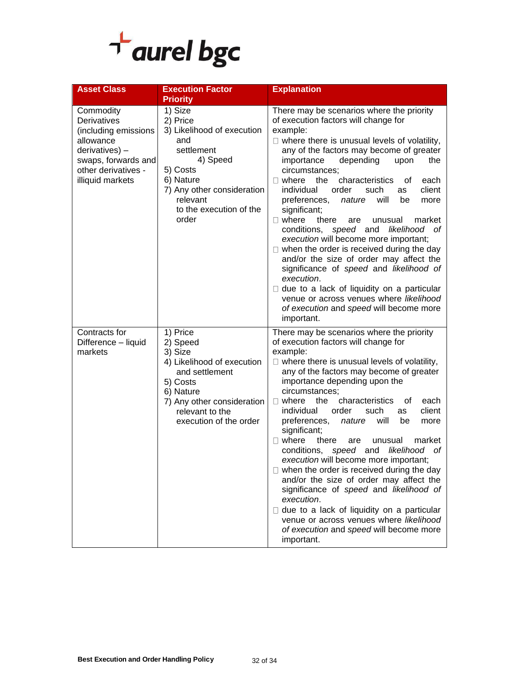

| <b>Asset Class</b>                                                                                                                                | <b>Execution Factor</b><br><b>Priority</b>                                                                                                                                                | <b>Explanation</b>                                                                                                                                                                                                                                                                                                                                                                                                                                                                                                                                                                                                                                                                                                                                                                                                                                                                           |
|---------------------------------------------------------------------------------------------------------------------------------------------------|-------------------------------------------------------------------------------------------------------------------------------------------------------------------------------------------|----------------------------------------------------------------------------------------------------------------------------------------------------------------------------------------------------------------------------------------------------------------------------------------------------------------------------------------------------------------------------------------------------------------------------------------------------------------------------------------------------------------------------------------------------------------------------------------------------------------------------------------------------------------------------------------------------------------------------------------------------------------------------------------------------------------------------------------------------------------------------------------------|
| Commodity<br>Derivatives<br>(including emissions<br>allowance<br>derivatives) -<br>swaps, forwards and<br>other derivatives -<br>illiquid markets | 1) Size<br>2) Price<br>3) Likelihood of execution<br>and<br>settlement<br>4) Speed<br>5) Costs<br>6) Nature<br>7) Any other consideration<br>relevant<br>to the execution of the<br>order | There may be scenarios where the priority<br>of execution factors will change for<br>example:<br>$\Box$ where there is unusual levels of volatility,<br>any of the factors may become of greater<br>importance<br>depending<br>upon<br>the<br>circumstances:<br>$\Box$ where<br>the<br>characteristics<br>οf<br>each<br>client<br>individual<br>order<br>such<br>as<br>preferences,<br>will<br>be<br>nature<br>more<br>significant;<br>$\Box$ where<br>there<br>market<br>unusual<br>are<br>conditions, speed and<br>likelihood of<br>execution will become more important;<br>$\Box$ when the order is received during the day<br>and/or the size of order may affect the<br>significance of speed and likelihood of<br>execution.<br>$\Box$ due to a lack of liquidity on a particular<br>venue or across venues where likelihood<br>of execution and speed will become more<br>important. |
| Contracts for<br>Difference - liquid<br>markets                                                                                                   | 1) Price<br>2) Speed<br>3) Size<br>4) Likelihood of execution<br>and settlement<br>5) Costs<br>6) Nature<br>7) Any other consideration<br>relevant to the<br>execution of the order       | There may be scenarios where the priority<br>of execution factors will change for<br>example:<br>$\Box$ where there is unusual levels of volatility,<br>any of the factors may become of greater<br>importance depending upon the<br>circumstances;<br>the<br>characteristics<br>$\Box$ where<br>οf<br>each<br>individual<br>order<br>such<br>client<br>as<br>preferences,<br>nature<br>will<br>be<br>more<br>significant;<br>$\Box$ where<br>market<br>there<br>unusual<br>are<br>conditions, speed and<br>likelihood<br>ot<br>execution will become more important;<br>$\Box$ when the order is received during the day<br>and/or the size of order may affect the<br>significance of speed and likelihood of<br>execution.<br>$\Box$ due to a lack of liquidity on a particular<br>venue or across venues where likelihood<br>of execution and speed will become more<br>important.       |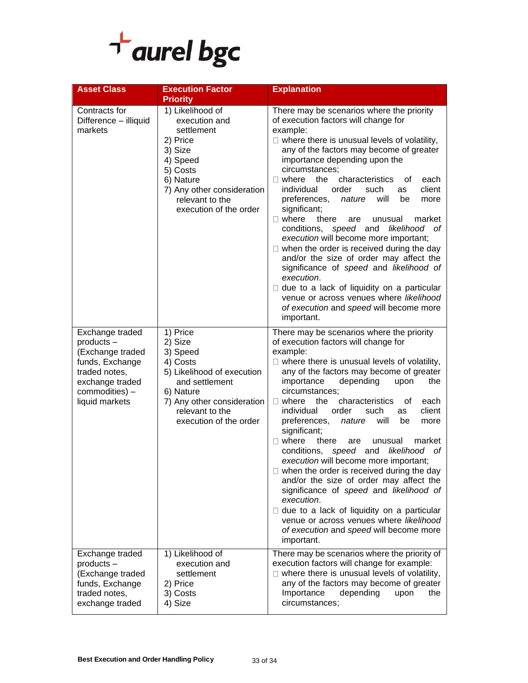

| <b>Asset Class</b>                                                                                                                          | <b>Execution Factor</b><br><b>Priority</b>                                                                                                                                             | <b>Explanation</b>                                                                                                                                                                                                                                                                                                                                                                                                                                                                                                                                                                                                                                                                                                                                                                                                                                                                          |
|---------------------------------------------------------------------------------------------------------------------------------------------|----------------------------------------------------------------------------------------------------------------------------------------------------------------------------------------|---------------------------------------------------------------------------------------------------------------------------------------------------------------------------------------------------------------------------------------------------------------------------------------------------------------------------------------------------------------------------------------------------------------------------------------------------------------------------------------------------------------------------------------------------------------------------------------------------------------------------------------------------------------------------------------------------------------------------------------------------------------------------------------------------------------------------------------------------------------------------------------------|
| Contracts for<br>Difference - illiquid<br>markets                                                                                           | 1) Likelihood of<br>execution and<br>settlement<br>2) Price<br>3) Size<br>4) Speed<br>5) Costs<br>6) Nature<br>7) Any other consideration<br>relevant to the<br>execution of the order | There may be scenarios where the priority<br>of execution factors will change for<br>example:<br>$\Box$ where there is unusual levels of volatility,<br>any of the factors may become of greater<br>importance depending upon the<br>circumstances;<br>$\Box$ where<br>the<br>characteristics<br>of<br>each<br>client<br>individual<br>order<br>such<br>as<br>will<br>preferences,<br>be<br>nature<br>more<br>significant;<br>$\Box$ where<br>there<br>market<br>unusual<br>are<br>conditions,<br>speed and<br>likelihood of<br>execution will become more important;<br>$\Box$ when the order is received during the day<br>and/or the size of order may affect the<br>significance of speed and likelihood of<br>execution.<br>I due to a lack of liquidity on a particular<br>venue or across venues where likelihood<br>of execution and speed will become more<br>important.           |
| Exchange traded<br>products-<br>(Exchange traded<br>funds, Exchange<br>traded notes,<br>exchange traded<br>commodities) -<br>liquid markets | 1) Price<br>2) Size<br>3) Speed<br>4) Costs<br>5) Likelihood of execution<br>and settlement<br>6) Nature<br>7) Any other consideration<br>relevant to the<br>execution of the order    | There may be scenarios where the priority<br>of execution factors will change for<br>example:<br>$\Box$ where there is unusual levels of volatility,<br>any of the factors may become of greater<br>importance<br>depending<br>the<br>upon<br>circumstances;<br>$\Box$ where<br>the<br>characteristics<br>of<br>each<br>individual<br>order<br>such<br>client<br>as<br>preferences,<br>will<br>be<br>nature<br>more<br>significant;<br>$\Box$ where<br>there<br>market<br>unusual<br>are<br>conditions,<br>likelihood of<br>speed<br>and<br>execution will become more important;<br>when the order is received during the day<br>and/or the size of order may affect the<br>significance of speed and likelihood of<br>execution.<br>$\Box$ due to a lack of liquidity on a particular<br>venue or across venues where likelihood<br>of execution and speed will become more<br>important. |
| Exchange traded<br>products -<br>(Exchange traded<br>funds, Exchange<br>traded notes,<br>exchange traded                                    | 1) Likelihood of<br>execution and<br>settlement<br>2) Price<br>3) Costs<br>4) Size                                                                                                     | There may be scenarios where the priority of<br>execution factors will change for example:<br>$\Box$ where there is unusual levels of volatility,<br>any of the factors may become of greater<br>Importance<br>depending<br>the<br>upon<br>circumstances;                                                                                                                                                                                                                                                                                                                                                                                                                                                                                                                                                                                                                                   |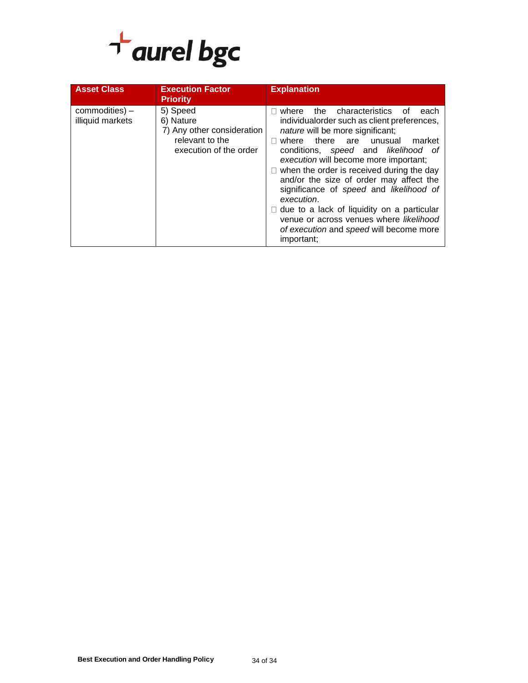

| <b>Asset Class</b>                 | <b>Execution Factor</b><br><b>Priority</b>                                                       | <b>Explanation</b>                                                                                                                                                                                                                                                                                                                                                                                                                                                                                                                                                                       |
|------------------------------------|--------------------------------------------------------------------------------------------------|------------------------------------------------------------------------------------------------------------------------------------------------------------------------------------------------------------------------------------------------------------------------------------------------------------------------------------------------------------------------------------------------------------------------------------------------------------------------------------------------------------------------------------------------------------------------------------------|
| commodities) -<br>illiquid markets | 5) Speed<br>6) Nature<br>7) Any other consideration<br>relevant to the<br>execution of the order | the characteristics of<br>each<br>where<br>L<br>individualorder such as client preferences,<br>nature will be more significant;<br>there are unusual<br>where<br>market<br>$\mathbf{L}$<br>conditions, speed and likelihood of<br>execution will become more important;<br>$\Box$ when the order is received during the day<br>and/or the size of order may affect the<br>significance of speed and likelihood of<br>execution.<br>$\Box$ due to a lack of liquidity on a particular<br>venue or across venues where likelihood<br>of execution and speed will become more<br>important; |